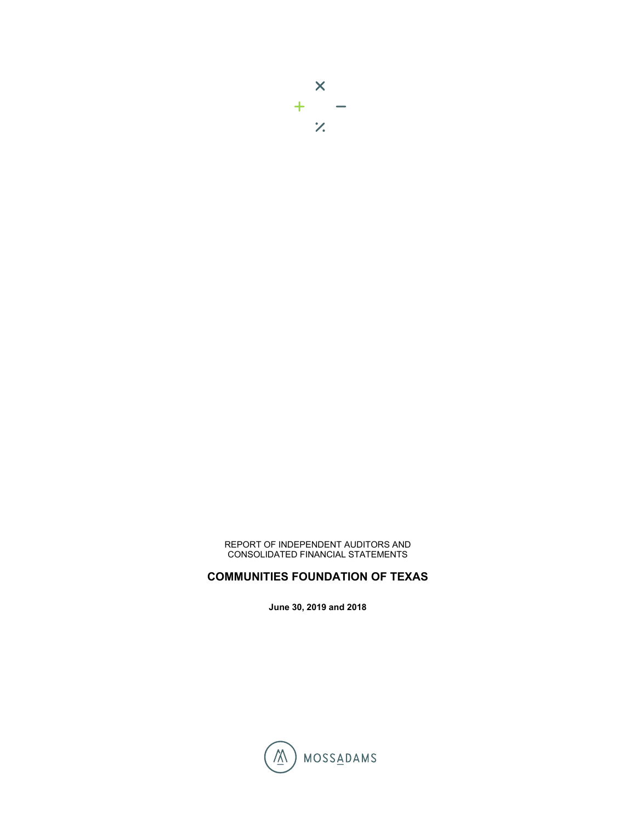

REPORT OF INDEPENDENT AUDITORS AND CONSOLIDATED FINANCIAL STATEMENTS

# **COMMUNITIES FOUNDATION OF TEXAS**

**June 30, 2019 and 2018**

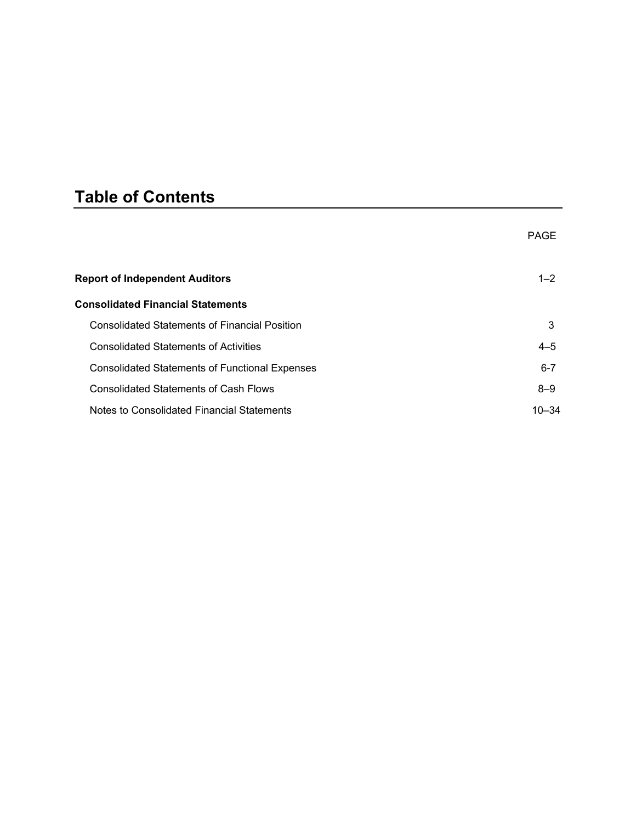# **Table of Contents**

|                                                       | <b>PAGE</b> |
|-------------------------------------------------------|-------------|
| <b>Report of Independent Auditors</b>                 | $1 - 2$     |
| <b>Consolidated Financial Statements</b>              |             |
| <b>Consolidated Statements of Financial Position</b>  | 3           |
| <b>Consolidated Statements of Activities</b>          | $4 - 5$     |
| <b>Consolidated Statements of Functional Expenses</b> | $6 - 7$     |
| <b>Consolidated Statements of Cash Flows</b>          | $8 - 9$     |
| Notes to Consolidated Financial Statements            | $10 - 34$   |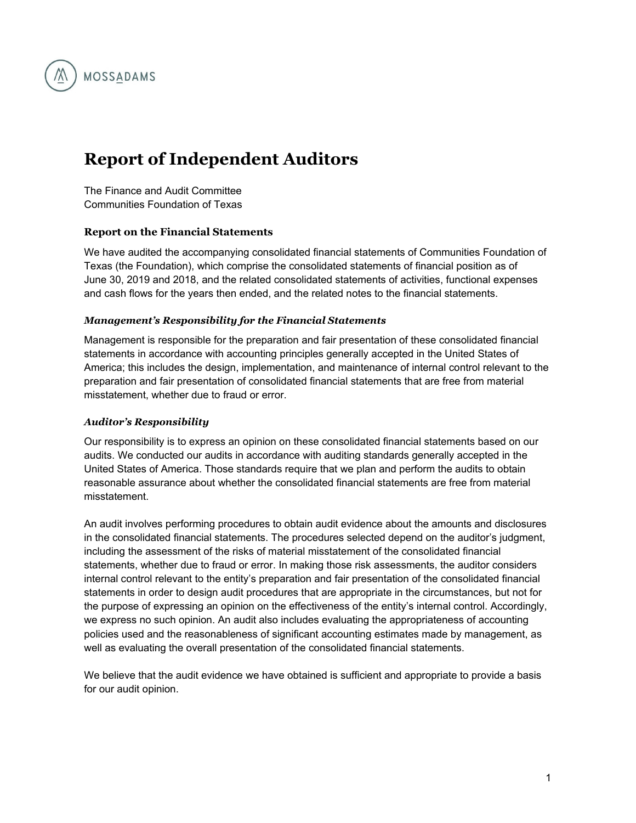

# **Report of Independent Auditors**

The Finance and Audit Committee Communities Foundation of Texas

#### **Report on the Financial Statements**

We have audited the accompanying consolidated financial statements of Communities Foundation of Texas (the Foundation), which comprise the consolidated statements of financial position as of June 30, 2019 and 2018, and the related consolidated statements of activities, functional expenses and cash flows for the years then ended, and the related notes to the financial statements.

#### *Management's Responsibility for the Financial Statements*

Management is responsible for the preparation and fair presentation of these consolidated financial statements in accordance with accounting principles generally accepted in the United States of America; this includes the design, implementation, and maintenance of internal control relevant to the preparation and fair presentation of consolidated financial statements that are free from material misstatement, whether due to fraud or error.

#### *Auditor's Responsibility*

Our responsibility is to express an opinion on these consolidated financial statements based on our audits. We conducted our audits in accordance with auditing standards generally accepted in the United States of America. Those standards require that we plan and perform the audits to obtain reasonable assurance about whether the consolidated financial statements are free from material misstatement.

An audit involves performing procedures to obtain audit evidence about the amounts and disclosures in the consolidated financial statements. The procedures selected depend on the auditor's judgment, including the assessment of the risks of material misstatement of the consolidated financial statements, whether due to fraud or error. In making those risk assessments, the auditor considers internal control relevant to the entity's preparation and fair presentation of the consolidated financial statements in order to design audit procedures that are appropriate in the circumstances, but not for the purpose of expressing an opinion on the effectiveness of the entity's internal control. Accordingly, we express no such opinion. An audit also includes evaluating the appropriateness of accounting policies used and the reasonableness of significant accounting estimates made by management, as well as evaluating the overall presentation of the consolidated financial statements.

We believe that the audit evidence we have obtained is sufficient and appropriate to provide a basis for our audit opinion.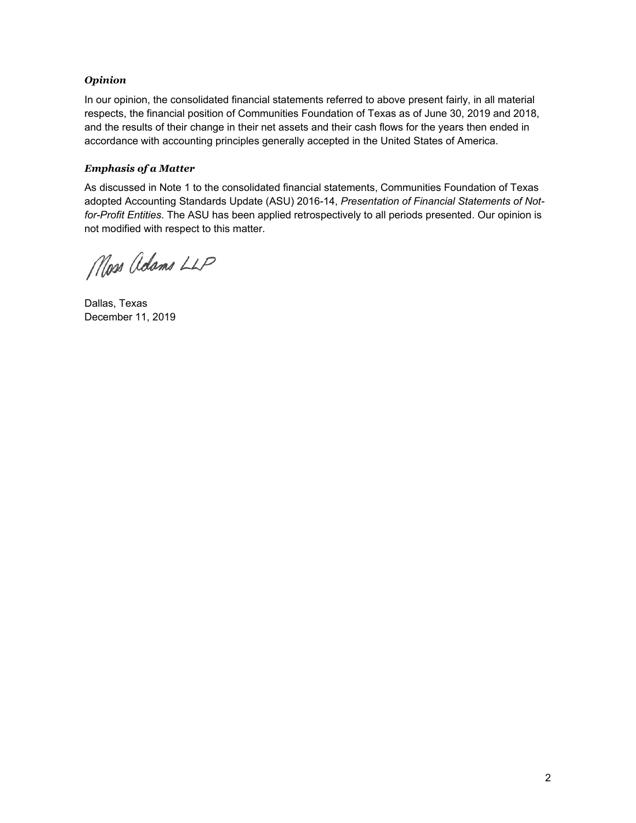# *Opinion*

In our opinion, the consolidated financial statements referred to above present fairly, in all material respects, the financial position of Communities Foundation of Texas as of June 30, 2019 and 2018, and the results of their change in their net assets and their cash flows for the years then ended in accordance with accounting principles generally accepted in the United States of America.

# *Emphasis of a Matter*

As discussed in Note 1 to the consolidated financial statements, Communities Foundation of Texas adopted Accounting Standards Update (ASU) 2016-14, *Presentation of Financial Statements of Notfor-Profit Entities*. The ASU has been applied retrospectively to all periods presented. Our opinion is not modified with respect to this matter.

Moss adams LLP

Dallas, Texas December 11, 2019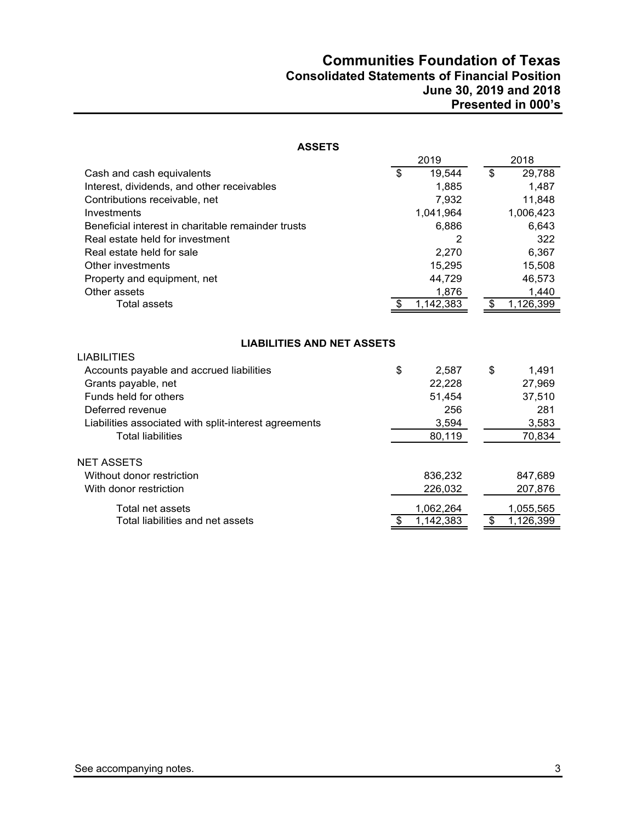# **Communities Foundation of Texas Consolidated Statements of Financial Position June 30, 2019 and 2018 Presented in 000's**

| <b>ASSETS</b>                                           |    |                        |    |           |  |  |
|---------------------------------------------------------|----|------------------------|----|-----------|--|--|
|                                                         |    | 2019                   |    | 2018      |  |  |
| Cash and cash equivalents                               | \$ | 19,544                 | \$ | 29,788    |  |  |
| Interest, dividends, and other receivables              |    | 1,885                  |    | 1,487     |  |  |
| Contributions receivable, net                           |    | 7,932                  |    | 11,848    |  |  |
| Investments                                             |    | 1,041,964              |    | 1,006,423 |  |  |
| Beneficial interest in charitable remainder trusts      |    | 6,886                  |    | 6,643     |  |  |
| Real estate held for investment                         |    | 2                      |    | 322       |  |  |
| Real estate held for sale                               |    | 2,270                  |    | 6,367     |  |  |
| Other investments                                       |    | 15,295                 |    | 15,508    |  |  |
| Property and equipment, net                             |    | 44,729                 |    | 46,573    |  |  |
| Other assets                                            |    | 1,876                  |    | 1,440     |  |  |
| <b>Total assets</b>                                     | \$ | 1,142,383              | \$ | 1,126,399 |  |  |
| <b>LIABILITIES AND NET ASSETS</b><br><b>LIABILITIES</b> |    |                        |    |           |  |  |
| Accounts payable and accrued liabilities                | \$ | 2,587                  | \$ | 1,491     |  |  |
| Grants payable, net                                     |    | 22,228                 |    | 27,969    |  |  |
| Funds held for others                                   |    | 51,454                 |    | 37,510    |  |  |
| Deferred revenue                                        |    | 256                    |    | 281       |  |  |
| Liabilities associated with split-interest agreements   |    | 3,594                  |    | 3,583     |  |  |
| <b>Total liabilities</b>                                |    | 80,119                 |    | 70,834    |  |  |
| <b>NET ASSETS</b>                                       |    |                        |    |           |  |  |
| Without donor restriction                               |    | 836,232                |    | 847,689   |  |  |
| With donor restriction                                  |    | 226,032                |    | 207,876   |  |  |
| Total net assets                                        |    | 1,062,264              |    | 1,055,565 |  |  |
| Total liabilities and net assets                        | \$ | $\overline{1,142,383}$ | \$ | 1,126,399 |  |  |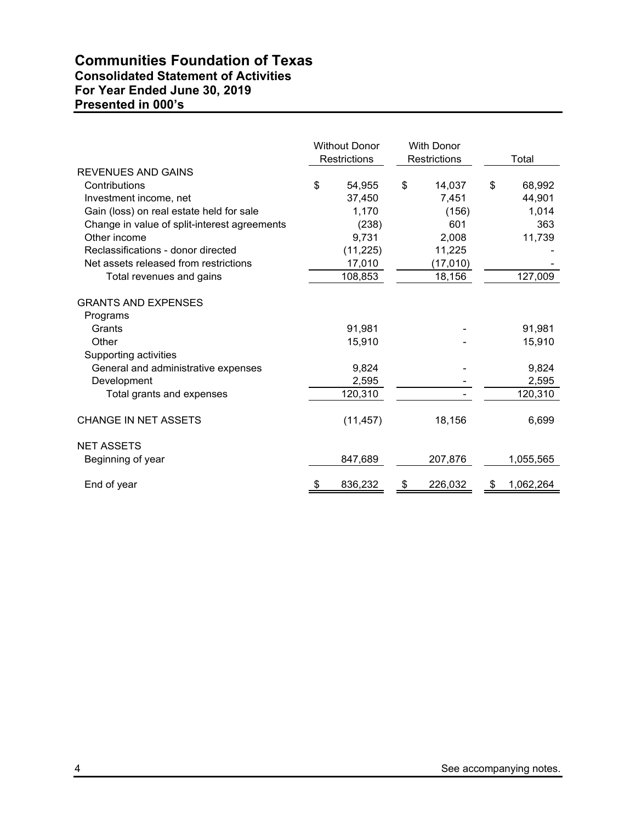# **Communities Foundation of Texas Consolidated Statement of Activities For Year Ended June 30, 2019 Presented in 000's**

|                                              | <b>Without Donor</b><br><b>Restrictions</b> | <b>With Donor</b><br><b>Restrictions</b> | Total           |
|----------------------------------------------|---------------------------------------------|------------------------------------------|-----------------|
| <b>REVENUES AND GAINS</b>                    |                                             |                                          |                 |
| Contributions                                | \$<br>54,955                                | \$<br>14,037                             | \$<br>68,992    |
| Investment income, net                       | 37,450                                      | 7,451                                    | 44,901          |
| Gain (loss) on real estate held for sale     | 1,170                                       | (156)                                    | 1,014           |
| Change in value of split-interest agreements | (238)                                       | 601                                      | 363             |
| Other income                                 | 9,731                                       | 2,008                                    | 11,739          |
| Reclassifications - donor directed           | (11, 225)                                   | 11,225                                   |                 |
| Net assets released from restrictions        | 17,010                                      | (17,010)                                 |                 |
| Total revenues and gains                     | 108,853                                     | 18,156                                   | 127,009         |
| <b>GRANTS AND EXPENSES</b>                   |                                             |                                          |                 |
| Programs                                     |                                             |                                          |                 |
| Grants                                       | 91,981                                      |                                          | 91,981          |
| Other                                        | 15,910                                      |                                          | 15,910          |
| Supporting activities                        |                                             |                                          |                 |
| General and administrative expenses          | 9,824                                       |                                          | 9,824           |
| Development                                  | 2,595                                       |                                          | 2,595           |
| Total grants and expenses                    | 120,310                                     |                                          | 120,310         |
| <b>CHANGE IN NET ASSETS</b>                  | (11, 457)                                   | 18,156                                   | 6,699           |
| <b>NET ASSETS</b>                            |                                             |                                          |                 |
| Beginning of year                            | 847,689                                     | 207,876                                  | 1,055,565       |
| End of year                                  | 836,232                                     | \$<br>226,032                            | \$<br>1,062,264 |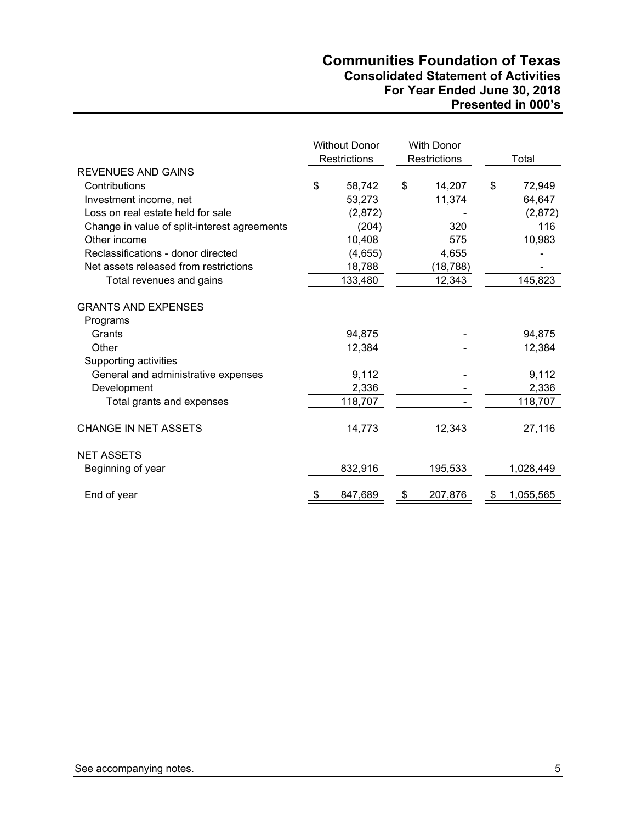# **Communities Foundation of Texas Consolidated Statement of Activities For Year Ended June 30, 2018 Presented in 000's**

|                                              | <b>Without Donor</b><br><b>Restrictions</b> | <b>With Donor</b><br>Restrictions | Total           |
|----------------------------------------------|---------------------------------------------|-----------------------------------|-----------------|
| <b>REVENUES AND GAINS</b>                    |                                             |                                   |                 |
| Contributions                                | \$<br>58,742                                | \$<br>14,207                      | \$<br>72,949    |
| Investment income, net                       | 53,273                                      | 11,374                            | 64,647          |
| Loss on real estate held for sale            | (2,872)                                     |                                   | (2,872)         |
| Change in value of split-interest agreements | (204)                                       | 320                               | 116             |
| Other income                                 | 10,408                                      | 575                               | 10,983          |
| Reclassifications - donor directed           | (4,655)                                     | 4,655                             |                 |
| Net assets released from restrictions        | 18,788                                      | (18, 788)                         |                 |
| Total revenues and gains                     | 133,480                                     | 12,343                            | 145,823         |
| <b>GRANTS AND EXPENSES</b>                   |                                             |                                   |                 |
| Programs                                     |                                             |                                   |                 |
| Grants                                       | 94,875                                      |                                   | 94,875          |
| Other                                        | 12,384                                      |                                   | 12,384          |
| Supporting activities                        |                                             |                                   |                 |
| General and administrative expenses          | 9,112                                       |                                   | 9,112           |
| Development                                  | 2,336                                       |                                   | 2,336           |
| Total grants and expenses                    | 118,707                                     |                                   | 118,707         |
| <b>CHANGE IN NET ASSETS</b>                  | 14,773                                      | 12,343                            | 27,116          |
| <b>NET ASSETS</b>                            |                                             |                                   |                 |
| Beginning of year                            | 832,916                                     | 195,533                           | 1,028,449       |
| End of year                                  | \$<br>847,689                               | \$<br>207,876                     | \$<br>1,055,565 |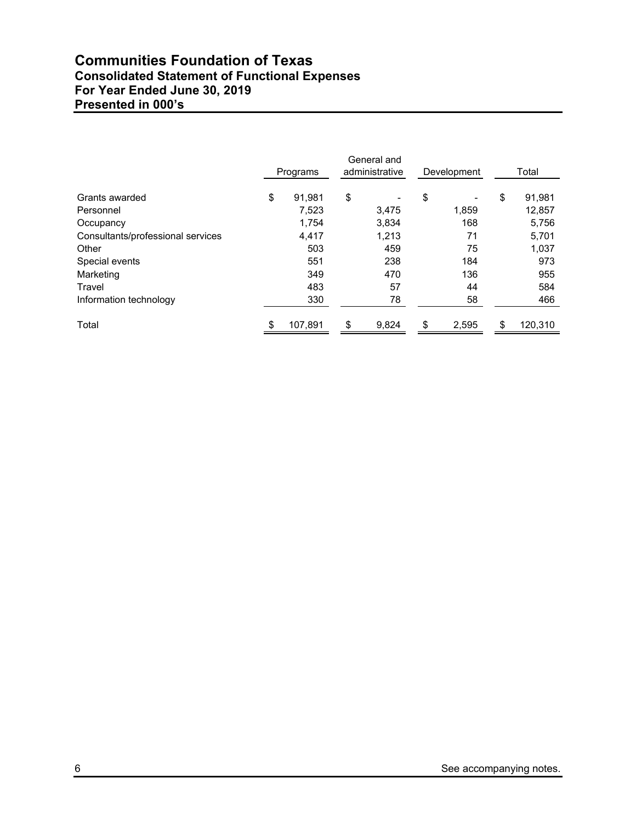# **Communities Foundation of Texas Consolidated Statement of Functional Expenses For Year Ended June 30, 2019 Presented in 000's**

|                                   | Programs      | General and<br>administrative | Development | Total         |
|-----------------------------------|---------------|-------------------------------|-------------|---------------|
| Grants awarded                    | \$<br>91.981  | \$                            | \$          | \$<br>91,981  |
| Personnel                         | 7,523         | 3,475                         | 1,859       | 12,857        |
| Occupancy                         | 1,754         | 3,834                         | 168         | 5,756         |
| Consultants/professional services | 4.417         | 1.213                         | 71          | 5,701         |
| Other                             | 503           | 459                           | 75          | 1,037         |
| Special events                    | 551           | 238                           | 184         | 973           |
| Marketing                         | 349           | 470                           | 136         | 955           |
| Travel                            | 483           | 57                            | 44          | 584           |
| Information technology            | 330           | 78                            | 58          | 466           |
| Total                             | \$<br>107,891 | \$<br>9,824                   | \$<br>2,595 | \$<br>120,310 |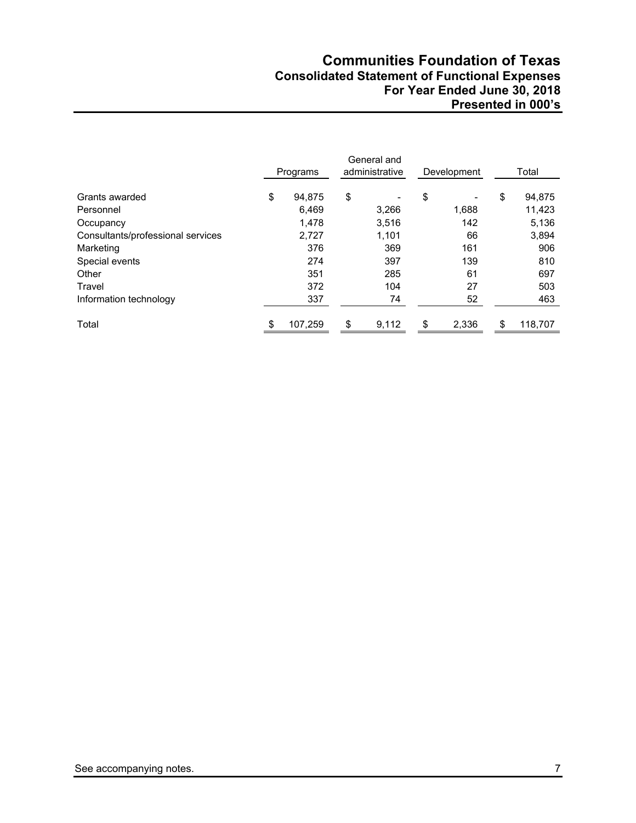# **Communities Foundation of Texas Consolidated Statement of Functional Expenses For Year Ended June 30, 2018 Presented in 000's**

|                                   | Programs      | General and<br>administrative | Development | Total         |
|-----------------------------------|---------------|-------------------------------|-------------|---------------|
| Grants awarded                    | \$<br>94,875  | \$                            | \$          | \$<br>94,875  |
| Personnel                         | 6,469         | 3,266                         | 1,688       | 11,423        |
| Occupancy                         | 1.478         | 3,516                         | 142         | 5,136         |
| Consultants/professional services | 2,727         | 1,101                         | 66          | 3,894         |
| Marketing                         | 376           | 369                           | 161         | 906           |
| Special events                    | 274           | 397                           | 139         | 810           |
| Other                             | 351           | 285                           | 61          | 697           |
| Travel                            | 372           | 104                           | 27          | 503           |
| Information technology            | 337           | 74                            | 52          | 463           |
| Total                             | \$<br>107,259 | \$<br>9,112                   | \$<br>2,336 | \$<br>118,707 |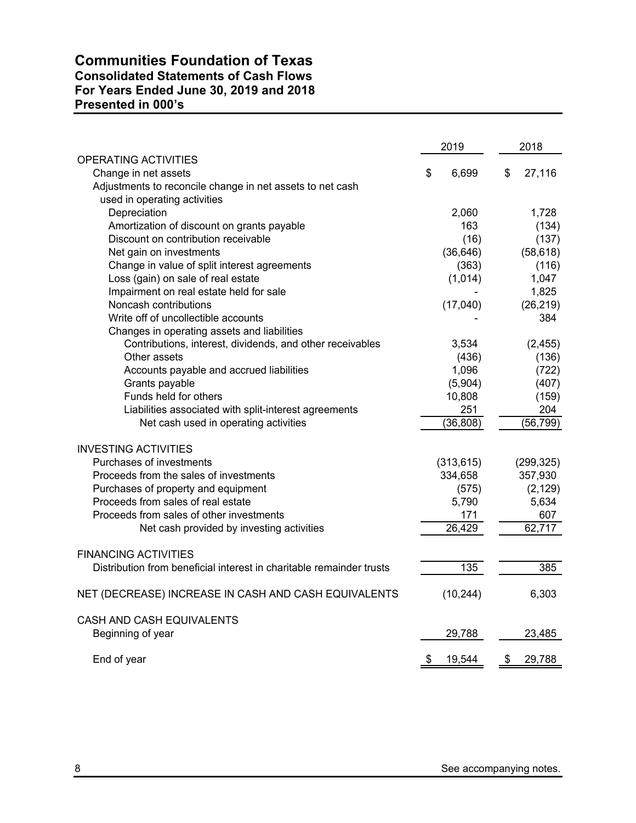# **Communities Foundation of Texas Consolidated Statements of Cash Flows For Years Ended June 30, 2019 and 2018 Presented in 000's**

|                                                                      | 2019         | 2018         |
|----------------------------------------------------------------------|--------------|--------------|
| OPERATING ACTIVITIES                                                 |              |              |
| Change in net assets                                                 | \$<br>6,699  | \$<br>27,116 |
| Adjustments to reconcile change in net assets to net cash            |              |              |
| used in operating activities                                         |              |              |
| Depreciation                                                         | 2,060        | 1,728        |
| Amortization of discount on grants payable                           | 163          | (134)        |
| Discount on contribution receivable                                  | (16)         | (137)        |
| Net gain on investments                                              | (36, 646)    | (58, 618)    |
| Change in value of split interest agreements                         | (363)        | (116)        |
| Loss (gain) on sale of real estate                                   | (1,014)      | 1,047        |
| Impairment on real estate held for sale                              |              | 1,825        |
| Noncash contributions                                                | (17,040)     | (26, 219)    |
| Write off of uncollectible accounts                                  |              | 384          |
| Changes in operating assets and liabilities                          |              |              |
| Contributions, interest, dividends, and other receivables            | 3,534        | (2, 455)     |
| Other assets                                                         | (436)        | (136)        |
| Accounts payable and accrued liabilities                             | 1,096        | (722)        |
| Grants payable                                                       | (5,904)      | (407)        |
| Funds held for others                                                | 10,808       | (159)        |
| Liabilities associated with split-interest agreements                | 251          | 204          |
| Net cash used in operating activities                                | (36, 808)    | (56, 799)    |
| <b>INVESTING ACTIVITIES</b>                                          |              |              |
| Purchases of investments                                             | (313, 615)   | (299, 325)   |
| Proceeds from the sales of investments                               | 334,658      | 357,930      |
| Purchases of property and equipment                                  | (575)        | (2, 129)     |
| Proceeds from sales of real estate                                   | 5,790        | 5,634        |
| Proceeds from sales of other investments                             | 171          | 607          |
| Net cash provided by investing activities                            | 26,429       | 62,717       |
| <b>FINANCING ACTIVITIES</b>                                          |              |              |
| Distribution from beneficial interest in charitable remainder trusts | 135          | 385          |
| NET (DECREASE) INCREASE IN CASH AND CASH EQUIVALENTS                 | (10, 244)    | 6,303        |
|                                                                      |              |              |
| CASH AND CASH EQUIVALENTS<br>Beginning of year                       | 29,788       | 23,485       |
| End of year                                                          | \$<br>19,544 | \$<br>29,788 |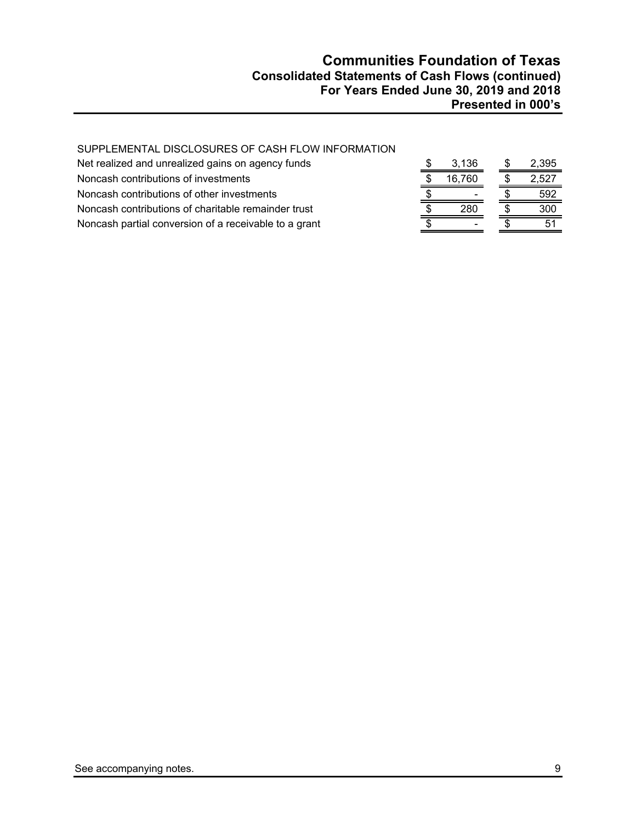| SUPPLEMENTAL DISCLOSURES OF CASH FLOW INFORMATION     |        |      |       |
|-------------------------------------------------------|--------|------|-------|
| Net realized and unrealized gains on agency funds     | 3,136  | - \$ | 2,395 |
| Noncash contributions of investments                  | 16.760 |      | 2,527 |
| Noncash contributions of other investments            |        |      | 592   |
| Noncash contributions of charitable remainder trust   | 280    |      | 300   |
| Noncash partial conversion of a receivable to a grant |        |      | 51    |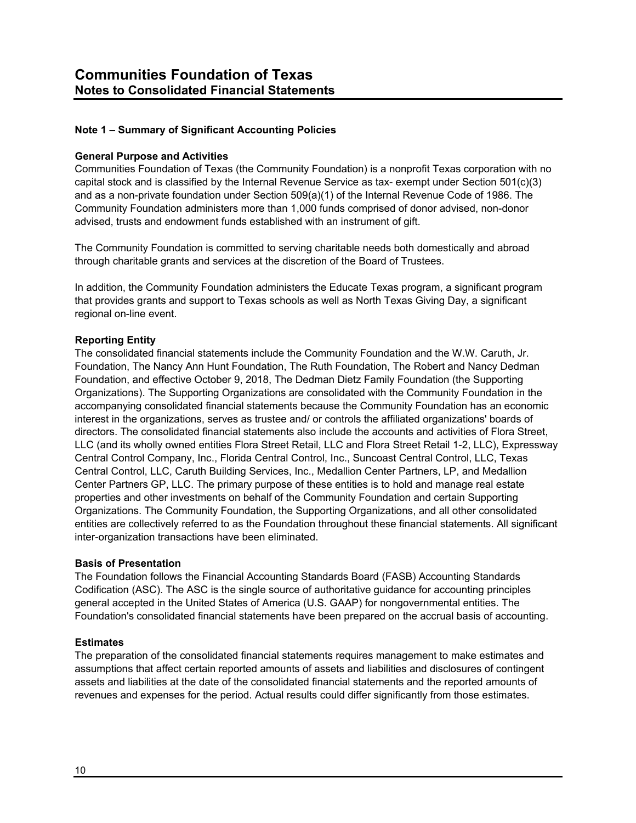# **Note 1 – Summary of Significant Accounting Policies**

#### **General Purpose and Activities**

Communities Foundation of Texas (the Community Foundation) is a nonprofit Texas corporation with no capital stock and is classified by the Internal Revenue Service as tax- exempt under Section 501(c)(3) and as a non-private foundation under Section 509(a)(1) of the Internal Revenue Code of 1986. The Community Foundation administers more than 1,000 funds comprised of donor advised, non-donor advised, trusts and endowment funds established with an instrument of gift.

The Community Foundation is committed to serving charitable needs both domestically and abroad through charitable grants and services at the discretion of the Board of Trustees.

In addition, the Community Foundation administers the Educate Texas program, a significant program that provides grants and support to Texas schools as well as North Texas Giving Day, a significant regional on-line event.

# **Reporting Entity**

The consolidated financial statements include the Community Foundation and the W.W. Caruth, Jr. Foundation, The Nancy Ann Hunt Foundation, The Ruth Foundation, The Robert and Nancy Dedman Foundation, and effective October 9, 2018, The Dedman Dietz Family Foundation (the Supporting Organizations). The Supporting Organizations are consolidated with the Community Foundation in the accompanying consolidated financial statements because the Community Foundation has an economic interest in the organizations, serves as trustee and/ or controls the affiliated organizations' boards of directors. The consolidated financial statements also include the accounts and activities of Flora Street, LLC (and its wholly owned entities Flora Street Retail, LLC and Flora Street Retail 1-2, LLC), Expressway Central Control Company, Inc., Florida Central Control, Inc., Suncoast Central Control, LLC, Texas Central Control, LLC, Caruth Building Services, Inc., Medallion Center Partners, LP, and Medallion Center Partners GP, LLC. The primary purpose of these entities is to hold and manage real estate properties and other investments on behalf of the Community Foundation and certain Supporting Organizations. The Community Foundation, the Supporting Organizations, and all other consolidated entities are collectively referred to as the Foundation throughout these financial statements. All significant inter-organization transactions have been eliminated.

#### **Basis of Presentation**

The Foundation follows the Financial Accounting Standards Board (FASB) Accounting Standards Codification (ASC). The ASC is the single source of authoritative guidance for accounting principles general accepted in the United States of America (U.S. GAAP) for nongovernmental entities. The Foundation's consolidated financial statements have been prepared on the accrual basis of accounting.

# **Estimates**

The preparation of the consolidated financial statements requires management to make estimates and assumptions that affect certain reported amounts of assets and liabilities and disclosures of contingent assets and liabilities at the date of the consolidated financial statements and the reported amounts of revenues and expenses for the period. Actual results could differ significantly from those estimates.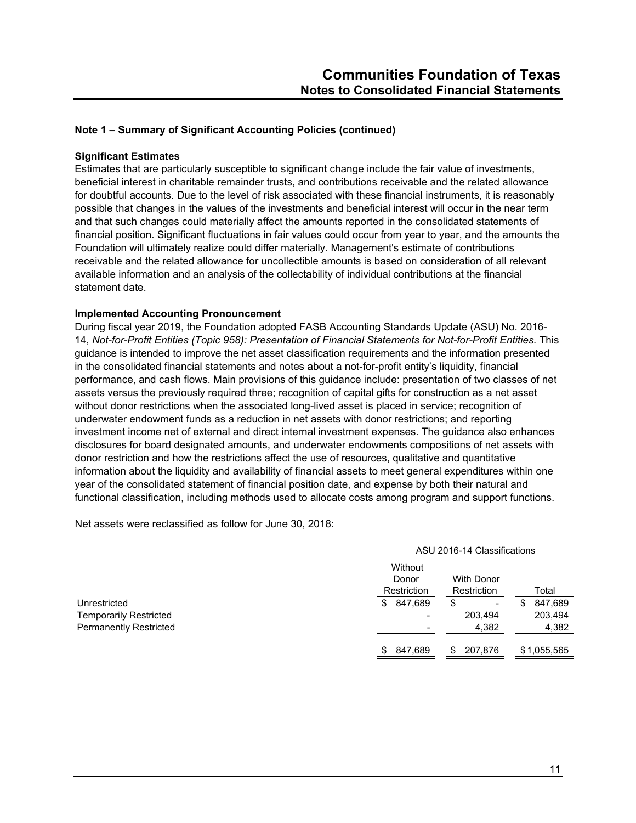#### **Significant Estimates**

Estimates that are particularly susceptible to significant change include the fair value of investments, beneficial interest in charitable remainder trusts, and contributions receivable and the related allowance for doubtful accounts. Due to the level of risk associated with these financial instruments, it is reasonably possible that changes in the values of the investments and beneficial interest will occur in the near term and that such changes could materially affect the amounts reported in the consolidated statements of financial position. Significant fluctuations in fair values could occur from year to year, and the amounts the Foundation will ultimately realize could differ materially. Management's estimate of contributions receivable and the related allowance for uncollectible amounts is based on consideration of all relevant available information and an analysis of the collectability of individual contributions at the financial statement date.

# **Implemented Accounting Pronouncement**

During fiscal year 2019, the Foundation adopted FASB Accounting Standards Update (ASU) No. 2016- 14, *Not-for-Profit Entities (Topic 958): Presentation of Financial Statements for Not-for-Profit Entities.* This guidance is intended to improve the net asset classification requirements and the information presented in the consolidated financial statements and notes about a not-for-profit entity's liquidity, financial performance, and cash flows. Main provisions of this guidance include: presentation of two classes of net assets versus the previously required three; recognition of capital gifts for construction as a net asset without donor restrictions when the associated long-lived asset is placed in service; recognition of underwater endowment funds as a reduction in net assets with donor restrictions; and reporting investment income net of external and direct internal investment expenses. The guidance also enhances disclosures for board designated amounts, and underwater endowments compositions of net assets with donor restriction and how the restrictions affect the use of resources, qualitative and quantitative information about the liquidity and availability of financial assets to meet general expenditures within one year of the consolidated statement of financial position date, and expense by both their natural and functional classification, including methods used to allocate costs among program and support functions.

Net assets were reclassified as follow for June 30, 2018:

|                               |                | ASU 2016-14 Classifications |              |  |  |
|-------------------------------|----------------|-----------------------------|--------------|--|--|
|                               | Without        |                             |              |  |  |
|                               | Donor          | <b>With Donor</b>           |              |  |  |
|                               | Restriction    | Restriction                 | Total        |  |  |
| Unrestricted                  | 847,689<br>\$  | \$<br>-                     | 847,689<br>S |  |  |
| <b>Temporarily Restricted</b> |                | 203,494                     | 203,494      |  |  |
| <b>Permanently Restricted</b> |                | 4,382                       | 4,382        |  |  |
|                               | 847,689<br>\$. | 207.876<br>S                | \$1,055,565  |  |  |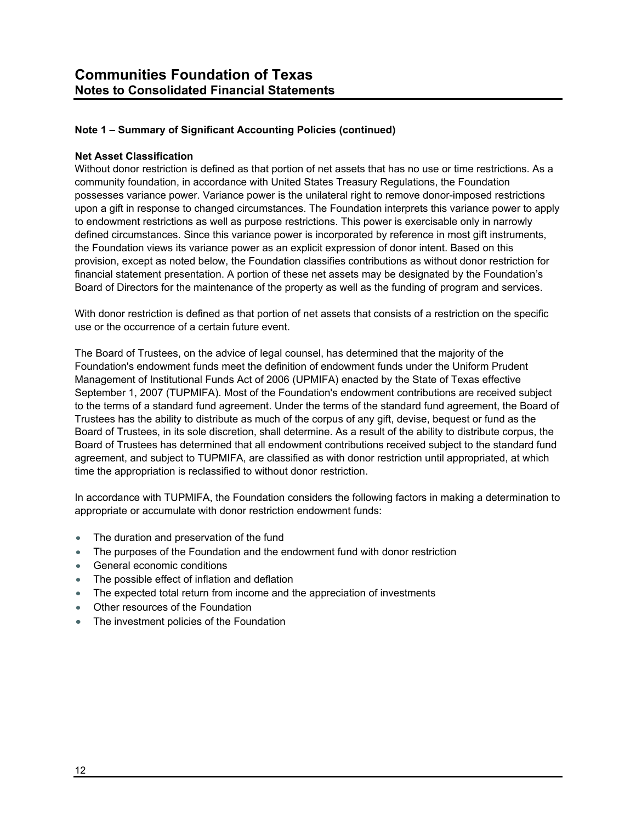#### **Net Asset Classification**

Without donor restriction is defined as that portion of net assets that has no use or time restrictions. As a community foundation, in accordance with United States Treasury Regulations, the Foundation possesses variance power. Variance power is the unilateral right to remove donor-imposed restrictions upon a gift in response to changed circumstances. The Foundation interprets this variance power to apply to endowment restrictions as well as purpose restrictions. This power is exercisable only in narrowly defined circumstances. Since this variance power is incorporated by reference in most gift instruments, the Foundation views its variance power as an explicit expression of donor intent. Based on this provision, except as noted below, the Foundation classifies contributions as without donor restriction for financial statement presentation. A portion of these net assets may be designated by the Foundation's Board of Directors for the maintenance of the property as well as the funding of program and services.

With donor restriction is defined as that portion of net assets that consists of a restriction on the specific use or the occurrence of a certain future event.

The Board of Trustees, on the advice of legal counsel, has determined that the majority of the Foundation's endowment funds meet the definition of endowment funds under the Uniform Prudent Management of Institutional Funds Act of 2006 (UPMIFA) enacted by the State of Texas effective September 1, 2007 (TUPMIFA). Most of the Foundation's endowment contributions are received subject to the terms of a standard fund agreement. Under the terms of the standard fund agreement, the Board of Trustees has the ability to distribute as much of the corpus of any gift, devise, bequest or fund as the Board of Trustees, in its sole discretion, shall determine. As a result of the ability to distribute corpus, the Board of Trustees has determined that all endowment contributions received subject to the standard fund agreement, and subject to TUPMIFA, are classified as with donor restriction until appropriated, at which time the appropriation is reclassified to without donor restriction.

In accordance with TUPMIFA, the Foundation considers the following factors in making a determination to appropriate or accumulate with donor restriction endowment funds:

- The duration and preservation of the fund
- The purposes of the Foundation and the endowment fund with donor restriction
- General economic conditions
- The possible effect of inflation and deflation
- The expected total return from income and the appreciation of investments
- Other resources of the Foundation
- The investment policies of the Foundation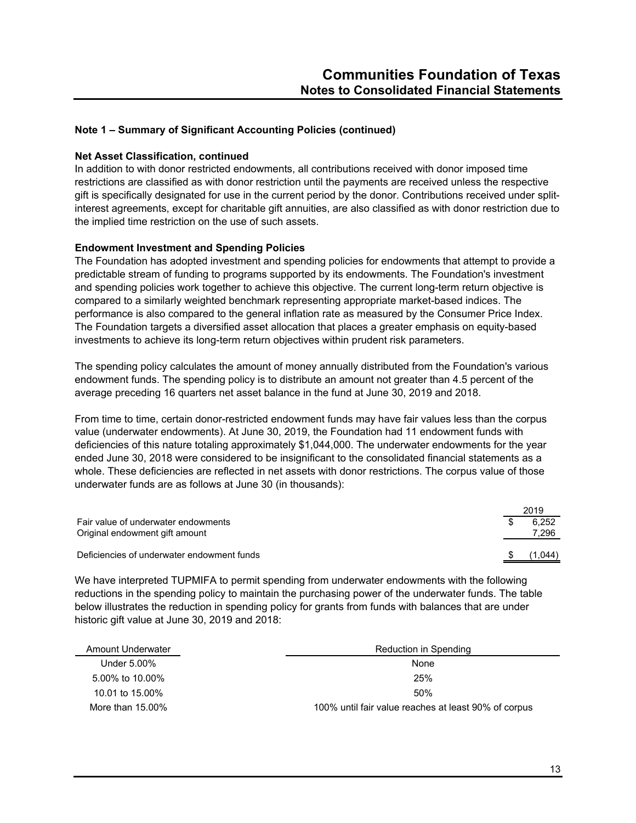#### **Net Asset Classification, continued**

In addition to with donor restricted endowments, all contributions received with donor imposed time restrictions are classified as with donor restriction until the payments are received unless the respective gift is specifically designated for use in the current period by the donor. Contributions received under splitinterest agreements, except for charitable gift annuities, are also classified as with donor restriction due to the implied time restriction on the use of such assets.

# **Endowment Investment and Spending Policies**

The Foundation has adopted investment and spending policies for endowments that attempt to provide a predictable stream of funding to programs supported by its endowments. The Foundation's investment and spending policies work together to achieve this objective. The current long-term return objective is compared to a similarly weighted benchmark representing appropriate market-based indices. The performance is also compared to the general inflation rate as measured by the Consumer Price Index. The Foundation targets a diversified asset allocation that places a greater emphasis on equity-based investments to achieve its long-term return objectives within prudent risk parameters.

The spending policy calculates the amount of money annually distributed from the Foundation's various endowment funds. The spending policy is to distribute an amount not greater than 4.5 percent of the average preceding 16 quarters net asset balance in the fund at June 30, 2019 and 2018.

From time to time, certain donor-restricted endowment funds may have fair values less than the corpus value (underwater endowments). At June 30, 2019, the Foundation had 11 endowment funds with deficiencies of this nature totaling approximately \$1,044,000. The underwater endowments for the year ended June 30, 2018 were considered to be insignificant to the consolidated financial statements as a whole. These deficiencies are reflected in net assets with donor restrictions. The corpus value of those underwater funds are as follows at June 30 (in thousands):

|                                            |          | 2019                   |
|--------------------------------------------|----------|------------------------|
| Fair value of underwater endowments        |          | 6.252                  |
| Original endowment gift amount             |          | 7,296                  |
| Deficiencies of underwater endowment funds | $\tau$ ( | $, 0.044$ <sup>1</sup> |

We have interpreted TUPMIFA to permit spending from underwater endowments with the following reductions in the spending policy to maintain the purchasing power of the underwater funds. The table below illustrates the reduction in spending policy for grants from funds with balances that are under historic gift value at June 30, 2019 and 2018:

| Amount Underwater   | Reduction in Spending                                |
|---------------------|------------------------------------------------------|
| Under 5.00%         | None                                                 |
| 5.00% to 10.00%     | 25%                                                  |
| 10.01 to 15.00%     | 50%                                                  |
| More than $15.00\%$ | 100% until fair value reaches at least 90% of corpus |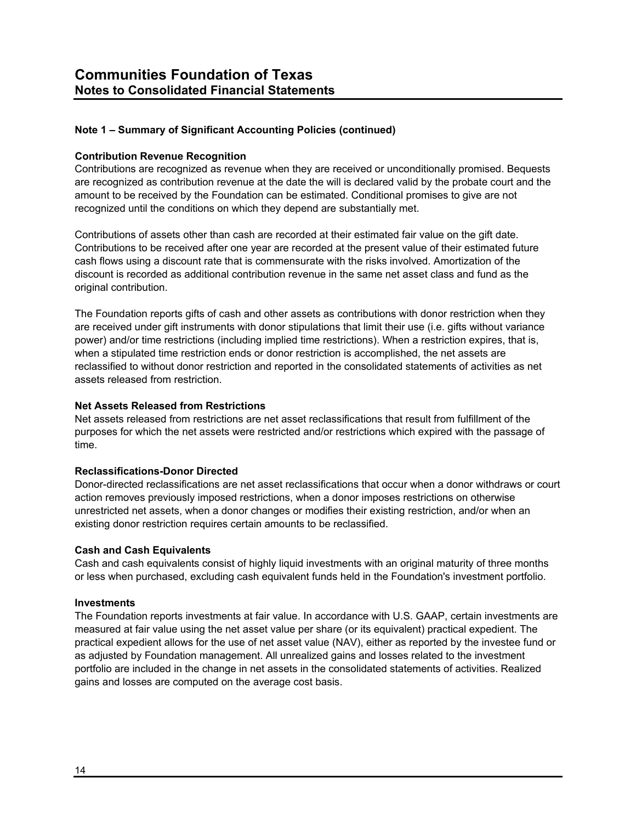#### **Contribution Revenue Recognition**

Contributions are recognized as revenue when they are received or unconditionally promised. Bequests are recognized as contribution revenue at the date the will is declared valid by the probate court and the amount to be received by the Foundation can be estimated. Conditional promises to give are not recognized until the conditions on which they depend are substantially met.

Contributions of assets other than cash are recorded at their estimated fair value on the gift date. Contributions to be received after one year are recorded at the present value of their estimated future cash flows using a discount rate that is commensurate with the risks involved. Amortization of the discount is recorded as additional contribution revenue in the same net asset class and fund as the original contribution.

The Foundation reports gifts of cash and other assets as contributions with donor restriction when they are received under gift instruments with donor stipulations that limit their use (i.e. gifts without variance power) and/or time restrictions (including implied time restrictions). When a restriction expires, that is, when a stipulated time restriction ends or donor restriction is accomplished, the net assets are reclassified to without donor restriction and reported in the consolidated statements of activities as net assets released from restriction.

#### **Net Assets Released from Restrictions**

Net assets released from restrictions are net asset reclassifications that result from fulfillment of the purposes for which the net assets were restricted and/or restrictions which expired with the passage of time.

# **Reclassifications-Donor Directed**

Donor-directed reclassifications are net asset reclassifications that occur when a donor withdraws or court action removes previously imposed restrictions, when a donor imposes restrictions on otherwise unrestricted net assets, when a donor changes or modifies their existing restriction, and/or when an existing donor restriction requires certain amounts to be reclassified.

#### **Cash and Cash Equivalents**

Cash and cash equivalents consist of highly liquid investments with an original maturity of three months or less when purchased, excluding cash equivalent funds held in the Foundation's investment portfolio.

#### **Investments**

The Foundation reports investments at fair value. In accordance with U.S. GAAP, certain investments are measured at fair value using the net asset value per share (or its equivalent) practical expedient. The practical expedient allows for the use of net asset value (NAV), either as reported by the investee fund or as adjusted by Foundation management. All unrealized gains and losses related to the investment portfolio are included in the change in net assets in the consolidated statements of activities. Realized gains and losses are computed on the average cost basis.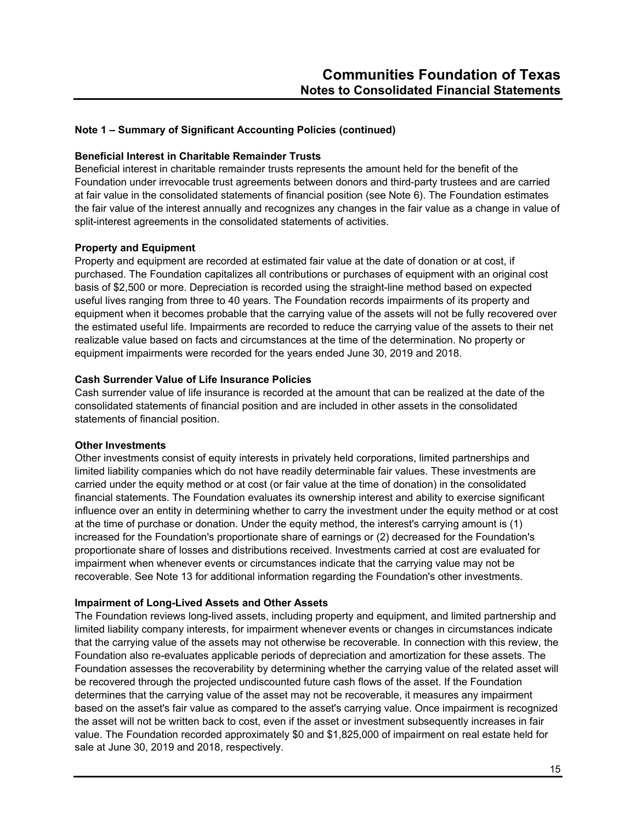#### **Beneficial Interest in Charitable Remainder Trusts**

Beneficial interest in charitable remainder trusts represents the amount held for the benefit of the Foundation under irrevocable trust agreements between donors and third-party trustees and are carried at fair value in the consolidated statements of financial position (see Note 6). The Foundation estimates the fair value of the interest annually and recognizes any changes in the fair value as a change in value of split-interest agreements in the consolidated statements of activities.

# **Property and Equipment**

Property and equipment are recorded at estimated fair value at the date of donation or at cost, if purchased. The Foundation capitalizes all contributions or purchases of equipment with an original cost basis of \$2,500 or more. Depreciation is recorded using the straight-line method based on expected useful lives ranging from three to 40 years. The Foundation records impairments of its property and equipment when it becomes probable that the carrying value of the assets will not be fully recovered over the estimated useful life. Impairments are recorded to reduce the carrying value of the assets to their net realizable value based on facts and circumstances at the time of the determination. No property or equipment impairments were recorded for the years ended June 30, 2019 and 2018.

#### **Cash Surrender Value of Life Insurance Policies**

Cash surrender value of life insurance is recorded at the amount that can be realized at the date of the consolidated statements of financial position and are included in other assets in the consolidated statements of financial position.

#### **Other Investments**

Other investments consist of equity interests in privately held corporations, limited partnerships and limited liability companies which do not have readily determinable fair values. These investments are carried under the equity method or at cost (or fair value at the time of donation) in the consolidated financial statements. The Foundation evaluates its ownership interest and ability to exercise significant influence over an entity in determining whether to carry the investment under the equity method or at cost at the time of purchase or donation. Under the equity method, the interest's carrying amount is (1) increased for the Foundation's proportionate share of earnings or (2) decreased for the Foundation's proportionate share of losses and distributions received. Investments carried at cost are evaluated for impairment when whenever events or circumstances indicate that the carrying value may not be recoverable. See Note 13 for additional information regarding the Foundation's other investments.

#### **Impairment of Long-Lived Assets and Other Assets**

The Foundation reviews long-lived assets, including property and equipment, and limited partnership and limited liability company interests, for impairment whenever events or changes in circumstances indicate that the carrying value of the assets may not otherwise be recoverable. In connection with this review, the Foundation also re-evaluates applicable periods of depreciation and amortization for these assets. The Foundation assesses the recoverability by determining whether the carrying value of the related asset will be recovered through the projected undiscounted future cash flows of the asset. If the Foundation determines that the carrying value of the asset may not be recoverable, it measures any impairment based on the asset's fair value as compared to the asset's carrying value. Once impairment is recognized the asset will not be written back to cost, even if the asset or investment subsequently increases in fair value. The Foundation recorded approximately \$0 and \$1,825,000 of impairment on real estate held for sale at June 30, 2019 and 2018, respectively.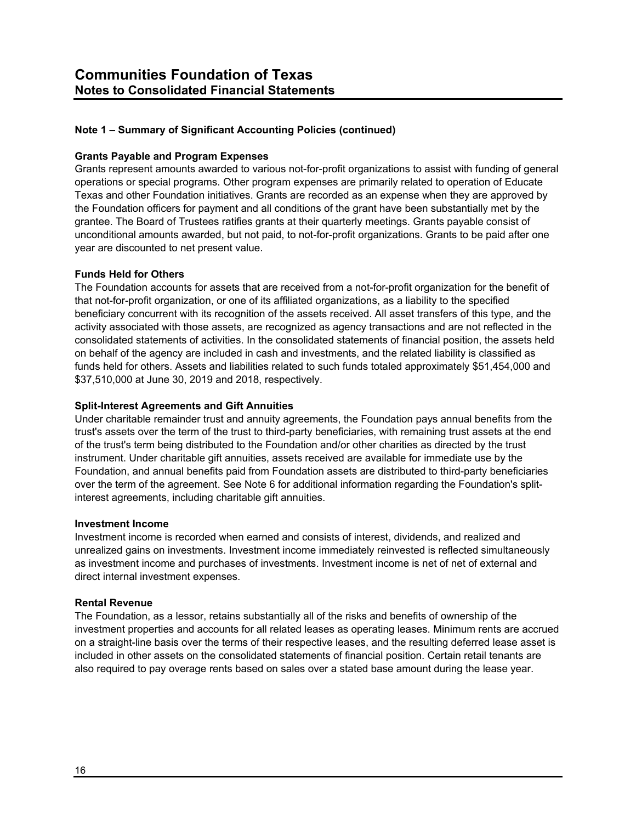#### **Grants Payable and Program Expenses**

Grants represent amounts awarded to various not-for-profit organizations to assist with funding of general operations or special programs. Other program expenses are primarily related to operation of Educate Texas and other Foundation initiatives. Grants are recorded as an expense when they are approved by the Foundation officers for payment and all conditions of the grant have been substantially met by the grantee. The Board of Trustees ratifies grants at their quarterly meetings. Grants payable consist of unconditional amounts awarded, but not paid, to not-for-profit organizations. Grants to be paid after one year are discounted to net present value.

#### **Funds Held for Others**

The Foundation accounts for assets that are received from a not-for-profit organization for the benefit of that not-for-profit organization, or one of its affiliated organizations, as a liability to the specified beneficiary concurrent with its recognition of the assets received. All asset transfers of this type, and the activity associated with those assets, are recognized as agency transactions and are not reflected in the consolidated statements of activities. In the consolidated statements of financial position, the assets held on behalf of the agency are included in cash and investments, and the related liability is classified as funds held for others. Assets and liabilities related to such funds totaled approximately \$51,454,000 and \$37,510,000 at June 30, 2019 and 2018, respectively.

#### **Split-Interest Agreements and Gift Annuities**

Under charitable remainder trust and annuity agreements, the Foundation pays annual benefits from the trust's assets over the term of the trust to third-party beneficiaries, with remaining trust assets at the end of the trust's term being distributed to the Foundation and/or other charities as directed by the trust instrument. Under charitable gift annuities, assets received are available for immediate use by the Foundation, and annual benefits paid from Foundation assets are distributed to third-party beneficiaries over the term of the agreement. See Note 6 for additional information regarding the Foundation's splitinterest agreements, including charitable gift annuities.

#### **Investment Income**

Investment income is recorded when earned and consists of interest, dividends, and realized and unrealized gains on investments. Investment income immediately reinvested is reflected simultaneously as investment income and purchases of investments. Investment income is net of net of external and direct internal investment expenses.

#### **Rental Revenue**

The Foundation, as a lessor, retains substantially all of the risks and benefits of ownership of the investment properties and accounts for all related leases as operating leases. Minimum rents are accrued on a straight-line basis over the terms of their respective leases, and the resulting deferred lease asset is included in other assets on the consolidated statements of financial position. Certain retail tenants are also required to pay overage rents based on sales over a stated base amount during the lease year.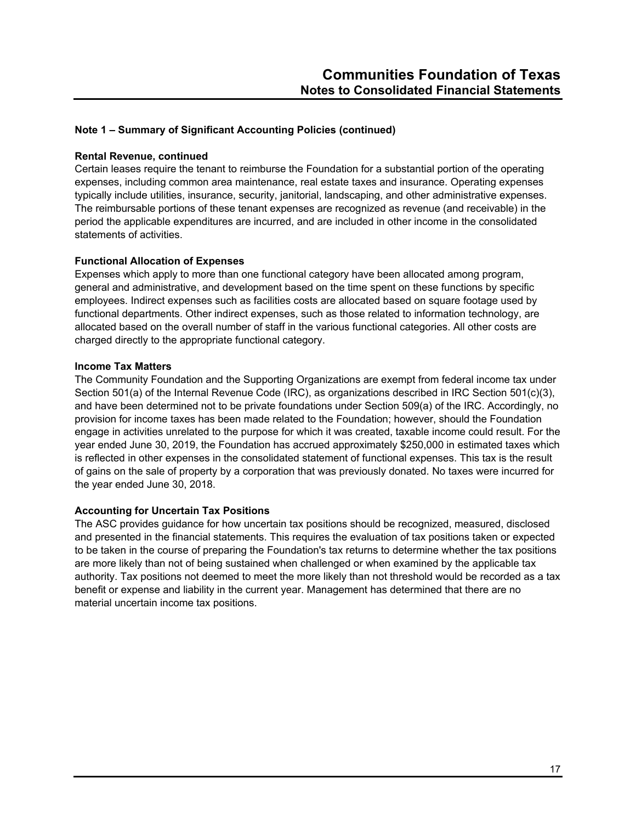#### **Rental Revenue, continued**

Certain leases require the tenant to reimburse the Foundation for a substantial portion of the operating expenses, including common area maintenance, real estate taxes and insurance. Operating expenses typically include utilities, insurance, security, janitorial, landscaping, and other administrative expenses. The reimbursable portions of these tenant expenses are recognized as revenue (and receivable) in the period the applicable expenditures are incurred, and are included in other income in the consolidated statements of activities.

#### **Functional Allocation of Expenses**

Expenses which apply to more than one functional category have been allocated among program, general and administrative, and development based on the time spent on these functions by specific employees. Indirect expenses such as facilities costs are allocated based on square footage used by functional departments. Other indirect expenses, such as those related to information technology, are allocated based on the overall number of staff in the various functional categories. All other costs are charged directly to the appropriate functional category.

#### **Income Tax Matters**

The Community Foundation and the Supporting Organizations are exempt from federal income tax under Section 501(a) of the Internal Revenue Code (IRC), as organizations described in IRC Section 501(c)(3), and have been determined not to be private foundations under Section 509(a) of the IRC. Accordingly, no provision for income taxes has been made related to the Foundation; however, should the Foundation engage in activities unrelated to the purpose for which it was created, taxable income could result. For the year ended June 30, 2019, the Foundation has accrued approximately \$250,000 in estimated taxes which is reflected in other expenses in the consolidated statement of functional expenses. This tax is the result of gains on the sale of property by a corporation that was previously donated. No taxes were incurred for the year ended June 30, 2018.

# **Accounting for Uncertain Tax Positions**

The ASC provides guidance for how uncertain tax positions should be recognized, measured, disclosed and presented in the financial statements. This requires the evaluation of tax positions taken or expected to be taken in the course of preparing the Foundation's tax returns to determine whether the tax positions are more likely than not of being sustained when challenged or when examined by the applicable tax authority. Tax positions not deemed to meet the more likely than not threshold would be recorded as a tax benefit or expense and liability in the current year. Management has determined that there are no material uncertain income tax positions.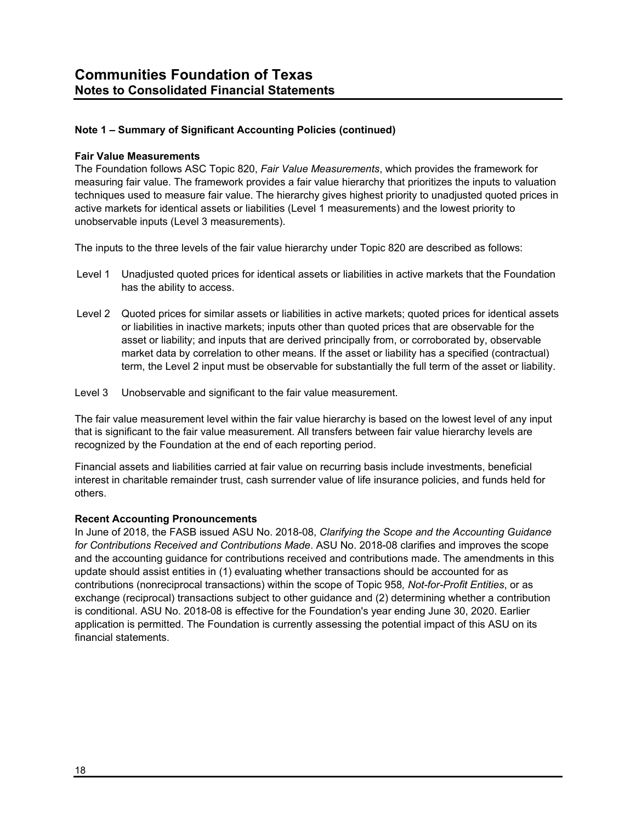#### **Fair Value Measurements**

The Foundation follows ASC Topic 820, *Fair Value Measurements*, which provides the framework for measuring fair value. The framework provides a fair value hierarchy that prioritizes the inputs to valuation techniques used to measure fair value. The hierarchy gives highest priority to unadjusted quoted prices in active markets for identical assets or liabilities (Level 1 measurements) and the lowest priority to unobservable inputs (Level 3 measurements).

The inputs to the three levels of the fair value hierarchy under Topic 820 are described as follows:

- Level 1 Unadjusted quoted prices for identical assets or liabilities in active markets that the Foundation has the ability to access.
- Level 2 Quoted prices for similar assets or liabilities in active markets; quoted prices for identical assets or liabilities in inactive markets; inputs other than quoted prices that are observable for the asset or liability; and inputs that are derived principally from, or corroborated by, observable market data by correlation to other means. If the asset or liability has a specified (contractual) term, the Level 2 input must be observable for substantially the full term of the asset or liability.
- Level 3 Unobservable and significant to the fair value measurement.

The fair value measurement level within the fair value hierarchy is based on the lowest level of any input that is significant to the fair value measurement. All transfers between fair value hierarchy levels are recognized by the Foundation at the end of each reporting period.

Financial assets and liabilities carried at fair value on recurring basis include investments, beneficial interest in charitable remainder trust, cash surrender value of life insurance policies, and funds held for others.

# **Recent Accounting Pronouncements**

In June of 2018, the FASB issued ASU No. 2018-08, *Clarifying the Scope and the Accounting Guidance for Contributions Received and Contributions Made*. ASU No. 2018-08 clarifies and improves the scope and the accounting guidance for contributions received and contributions made. The amendments in this update should assist entities in (1) evaluating whether transactions should be accounted for as contributions (nonreciprocal transactions) within the scope of Topic 958*, Not-for-Profit Entities*, or as exchange (reciprocal) transactions subject to other guidance and (2) determining whether a contribution is conditional. ASU No. 2018-08 is effective for the Foundation's year ending June 30, 2020. Earlier application is permitted. The Foundation is currently assessing the potential impact of this ASU on its financial statements.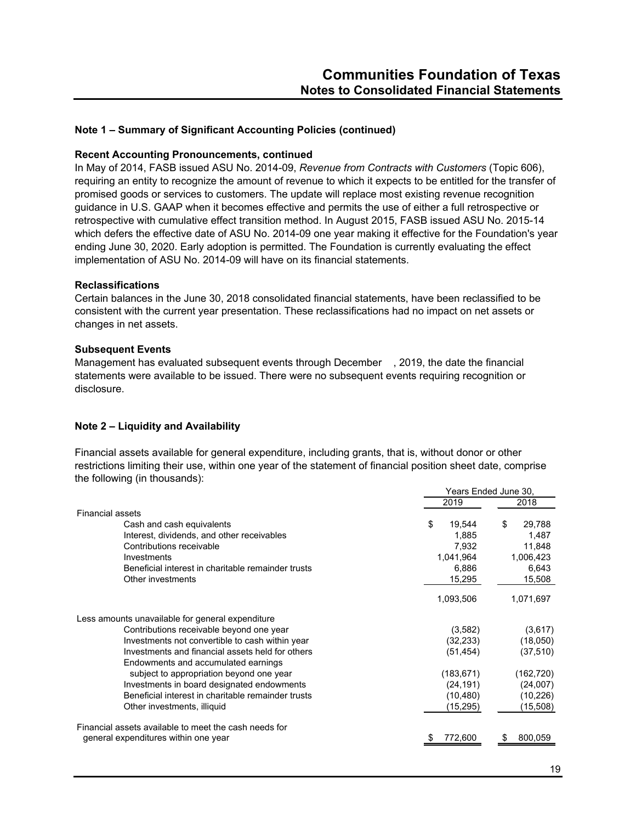#### **Recent Accounting Pronouncements, continued**

In May of 2014, FASB issued ASU No. 2014-09, *Revenue from Contracts with Customers* (Topic 606), requiring an entity to recognize the amount of revenue to which it expects to be entitled for the transfer of promised goods or services to customers. The update will replace most existing revenue recognition guidance in U.S. GAAP when it becomes effective and permits the use of either a full retrospective or retrospective with cumulative effect transition method. In August 2015, FASB issued ASU No. 2015-14 which defers the effective date of ASU No. 2014-09 one year making it effective for the Foundation's year ending June 30, 2020. Early adoption is permitted. The Foundation is currently evaluating the effect implementation of ASU No. 2014-09 will have on its financial statements.

#### **Reclassifications**

Certain balances in the June 30, 2018 consolidated financial statements, have been reclassified to be consistent with the current year presentation. These reclassifications had no impact on net assets or changes in net assets.

#### **Subsequent Events**

Management has evaluated subsequent events through December , 2019, the date the financial statements were available to be issued. There were no subsequent events requiring recognition or disclosure.

# **Note 2 – Liquidity and Availability**

Financial assets available for general expenditure, including grants, that is, without donor or other restrictions limiting their use, within one year of the statement of financial position sheet date, comprise the following (in thousands):

|                                                       | Years Ended June 30, |              |  |
|-------------------------------------------------------|----------------------|--------------|--|
|                                                       | 2019                 | 2018         |  |
| <b>Financial assets</b>                               |                      |              |  |
| Cash and cash equivalents                             | \$<br>19,544         | \$<br>29,788 |  |
| Interest, dividends, and other receivables            | 1,885                | 1,487        |  |
| Contributions receivable                              | 7,932                | 11,848       |  |
| Investments                                           | 1,041,964            | 1,006,423    |  |
| Beneficial interest in charitable remainder trusts    | 6,886                | 6,643        |  |
| Other investments                                     | 15,295               | 15,508       |  |
|                                                       | 1,093,506            | 1,071,697    |  |
| Less amounts unavailable for general expenditure      |                      |              |  |
| Contributions receivable beyond one year              | (3,582)              | (3,617)      |  |
| Investments not convertible to cash within year       | (32, 233)            | (18,050)     |  |
| Investments and financial assets held for others      | (51, 454)            | (37, 510)    |  |
| Endowments and accumulated earnings                   |                      |              |  |
| subject to appropriation beyond one year              | (183, 671)           | (162, 720)   |  |
| Investments in board designated endowments            | (24, 191)            | (24,007)     |  |
| Beneficial interest in charitable remainder trusts    | (10, 480)            | (10,226)     |  |
| Other investments, illiquid                           | (15,295)             | (15,508)     |  |
| Financial assets available to meet the cash needs for |                      |              |  |
| general expenditures within one year                  | 772,600              | 800,059<br>S |  |
|                                                       |                      |              |  |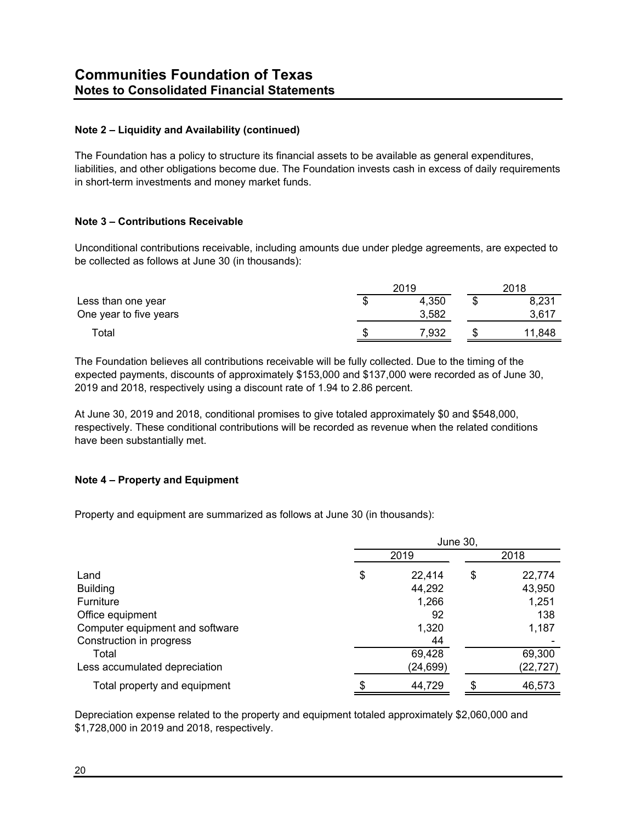# **Note 2 – Liquidity and Availability (continued)**

The Foundation has a policy to structure its financial assets to be available as general expenditures, liabilities, and other obligations become due. The Foundation invests cash in excess of daily requirements in short-term investments and money market funds.

# **Note 3 – Contributions Receivable**

Unconditional contributions receivable, including amounts due under pledge agreements, are expected to be collected as follows at June 30 (in thousands):

|                        | 2019 |       | 2018 |        |
|------------------------|------|-------|------|--------|
| Less than one year     | Œ    | 4,350 | ۰D   | 8,231  |
| One year to five years |      | 3,582 |      | 3,617  |
| Total                  | S    | 7,932 |      | 11.848 |

The Foundation believes all contributions receivable will be fully collected. Due to the timing of the expected payments, discounts of approximately \$153,000 and \$137,000 were recorded as of June 30, 2019 and 2018, respectively using a discount rate of 1.94 to 2.86 percent.

At June 30, 2019 and 2018, conditional promises to give totaled approximately \$0 and \$548,000, respectively. These conditional contributions will be recorded as revenue when the related conditions have been substantially met.

# **Note 4 – Property and Equipment**

Property and equipment are summarized as follows at June 30 (in thousands):

|                                 | <b>June 30,</b> |           |    |           |  |
|---------------------------------|-----------------|-----------|----|-----------|--|
|                                 |                 | 2019      |    | 2018      |  |
| Land                            | \$              | 22,414    | \$ | 22,774    |  |
| <b>Building</b>                 |                 | 44,292    |    | 43,950    |  |
| Furniture                       |                 | 1,266     |    | 1,251     |  |
| Office equipment                |                 | 92        |    | 138       |  |
| Computer equipment and software |                 | 1,320     |    | 1,187     |  |
| Construction in progress        |                 | 44        |    |           |  |
| Total                           |                 | 69,428    |    | 69,300    |  |
| Less accumulated depreciation   |                 | (24, 699) |    | (22, 727) |  |
| Total property and equipment    |                 | 44,729    |    | 46,573    |  |

Depreciation expense related to the property and equipment totaled approximately \$2,060,000 and \$1,728,000 in 2019 and 2018, respectively.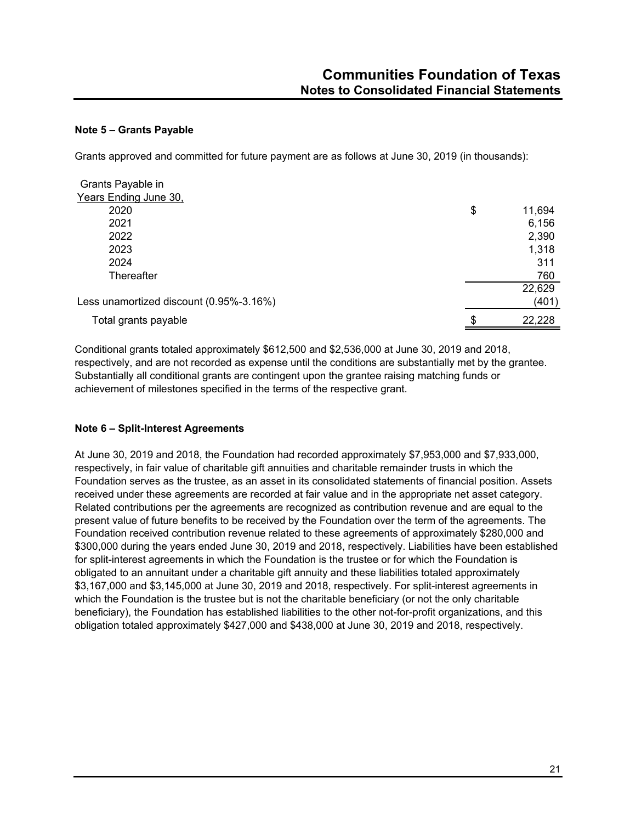# **Note 5 – Grants Payable**

Grants approved and committed for future payment are as follows at June 30, 2019 (in thousands):

| Grants Payable in                       |              |
|-----------------------------------------|--------------|
| Years Ending June 30,                   |              |
| 2020                                    | \$<br>11,694 |
| 2021                                    | 6,156        |
| 2022                                    | 2,390        |
| 2023                                    | 1,318        |
| 2024                                    | 311          |
| Thereafter                              | 760          |
|                                         | 22,629       |
| Less unamortized discount (0.95%-3.16%) | (401)        |
| Total grants payable                    | \$<br>22,228 |

Conditional grants totaled approximately \$612,500 and \$2,536,000 at June 30, 2019 and 2018, respectively, and are not recorded as expense until the conditions are substantially met by the grantee. Substantially all conditional grants are contingent upon the grantee raising matching funds or achievement of milestones specified in the terms of the respective grant.

# **Note 6 – Split-Interest Agreements**

At June 30, 2019 and 2018, the Foundation had recorded approximately \$7,953,000 and \$7,933,000, respectively, in fair value of charitable gift annuities and charitable remainder trusts in which the Foundation serves as the trustee, as an asset in its consolidated statements of financial position. Assets received under these agreements are recorded at fair value and in the appropriate net asset category. Related contributions per the agreements are recognized as contribution revenue and are equal to the present value of future benefits to be received by the Foundation over the term of the agreements. The Foundation received contribution revenue related to these agreements of approximately \$280,000 and \$300,000 during the years ended June 30, 2019 and 2018, respectively. Liabilities have been established for split-interest agreements in which the Foundation is the trustee or for which the Foundation is obligated to an annuitant under a charitable gift annuity and these liabilities totaled approximately \$3,167,000 and \$3,145,000 at June 30, 2019 and 2018, respectively. For split-interest agreements in which the Foundation is the trustee but is not the charitable beneficiary (or not the only charitable beneficiary), the Foundation has established liabilities to the other not-for-profit organizations, and this obligation totaled approximately \$427,000 and \$438,000 at June 30, 2019 and 2018, respectively.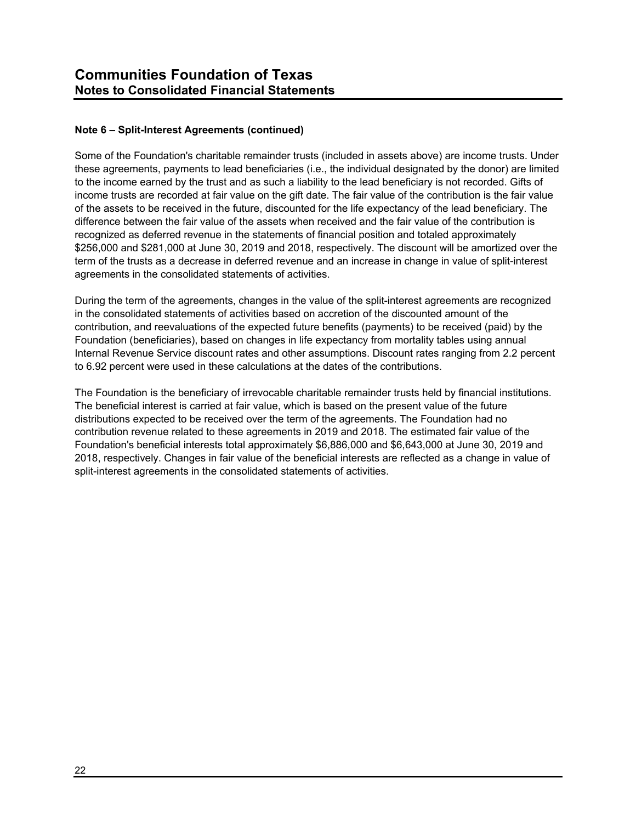# **Note 6 – Split-Interest Agreements (continued)**

Some of the Foundation's charitable remainder trusts (included in assets above) are income trusts. Under these agreements, payments to lead beneficiaries (i.e., the individual designated by the donor) are limited to the income earned by the trust and as such a liability to the lead beneficiary is not recorded. Gifts of income trusts are recorded at fair value on the gift date. The fair value of the contribution is the fair value of the assets to be received in the future, discounted for the life expectancy of the lead beneficiary. The difference between the fair value of the assets when received and the fair value of the contribution is recognized as deferred revenue in the statements of financial position and totaled approximately \$256,000 and \$281,000 at June 30, 2019 and 2018, respectively. The discount will be amortized over the term of the trusts as a decrease in deferred revenue and an increase in change in value of split-interest agreements in the consolidated statements of activities.

During the term of the agreements, changes in the value of the split-interest agreements are recognized in the consolidated statements of activities based on accretion of the discounted amount of the contribution, and reevaluations of the expected future benefits (payments) to be received (paid) by the Foundation (beneficiaries), based on changes in life expectancy from mortality tables using annual Internal Revenue Service discount rates and other assumptions. Discount rates ranging from 2.2 percent to 6.92 percent were used in these calculations at the dates of the contributions.

The Foundation is the beneficiary of irrevocable charitable remainder trusts held by financial institutions. The beneficial interest is carried at fair value, which is based on the present value of the future distributions expected to be received over the term of the agreements. The Foundation had no contribution revenue related to these agreements in 2019 and 2018. The estimated fair value of the Foundation's beneficial interests total approximately \$6,886,000 and \$6,643,000 at June 30, 2019 and 2018, respectively. Changes in fair value of the beneficial interests are reflected as a change in value of split-interest agreements in the consolidated statements of activities.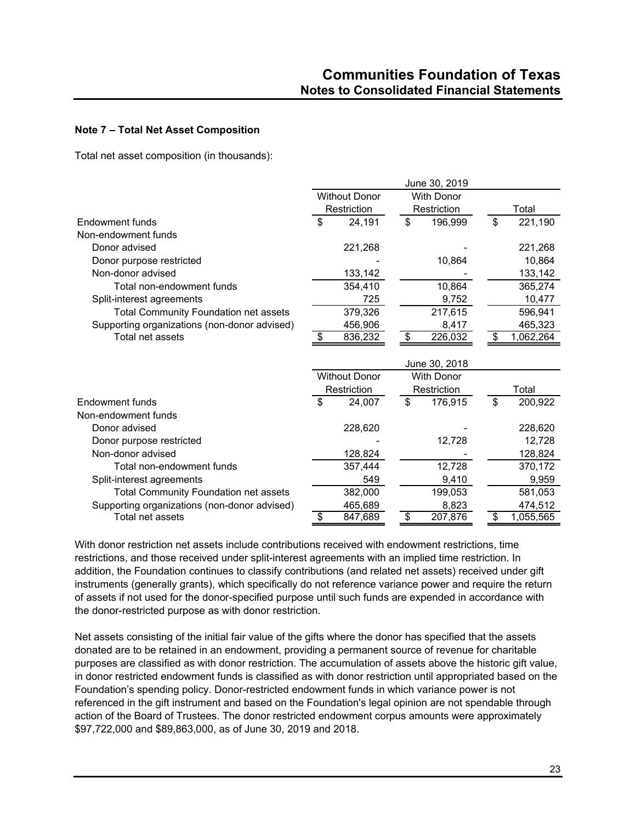# **Note 7 – Total Net Asset Composition**

Total net asset composition (in thousands):

|                                              |    |                      |    | June 30, 2019     |                 |
|----------------------------------------------|----|----------------------|----|-------------------|-----------------|
|                                              |    | <b>Without Donor</b> |    | <b>With Donor</b> |                 |
|                                              |    | Restriction          |    | Restriction       | Total           |
| Endowment funds                              |    | 24,191               | \$ | 196,999           | \$<br>221,190   |
| Non-endowment funds                          |    |                      |    |                   |                 |
| Donor advised                                |    | 221,268              |    |                   | 221,268         |
| Donor purpose restricted                     |    |                      |    | 10,864            | 10.864          |
| Non-donor advised                            |    | 133,142              |    |                   | 133,142         |
| Total non-endowment funds                    |    | 354,410              |    | 10,864            | 365,274         |
| Split-interest agreements                    |    | 725                  |    | 9,752             | 10,477          |
| <b>Total Community Foundation net assets</b> |    | 379,326              |    | 217,615           | 596,941         |
| Supporting organizations (non-donor advised) |    | 456,906              |    | 8,417             | 465,323         |
| Total net assets                             |    | 836,232              | S  | 226,032           | \$<br>1,062,264 |
|                                              |    |                      |    |                   |                 |
|                                              |    |                      |    | June 30, 2018     |                 |
|                                              |    | <b>Without Donor</b> |    | <b>With Donor</b> |                 |
|                                              |    | Restriction          |    | Restriction       | Total           |
| Endowment funds                              | \$ | 24,007               | \$ | 176,915           | \$<br>200,922   |
| Non-endowment funds                          |    |                      |    |                   |                 |
| Donor advised                                |    | 228,620              |    |                   | 228,620         |
| Donor purpose restricted                     |    |                      |    | 12,728            | 12,728          |
| Non-donor advised                            |    | 128,824              |    |                   | 128,824         |
| Total non-endowment funds                    |    | 357,444              |    | 12,728            | 370,172         |
| Split-interest agreements                    |    | 549                  |    | 9,410             | 9,959           |
| <b>Total Community Foundation net assets</b> |    | 382,000              |    | 199,053           | 581,053         |
| Supporting organizations (non-donor advised) |    |                      |    | 8,823             | 474,512         |
|                                              |    | 465,689<br>847,689   | \$ | 207,876           | 1,055,565       |

With donor restriction net assets include contributions received with endowment restrictions, time restrictions, and those received under split-interest agreements with an implied time restriction. In addition, the Foundation continues to classify contributions (and related net assets) received under gift instruments (generally grants), which specifically do not reference variance power and require the return of assets if not used for the donor-specified purpose until such funds are expended in accordance with the donor-restricted purpose as with donor restriction.

Net assets consisting of the initial fair value of the gifts where the donor has specified that the assets donated are to be retained in an endowment, providing a permanent source of revenue for charitable purposes are classified as with donor restriction. The accumulation of assets above the historic gift value, in donor restricted endowment funds is classified as with donor restriction until appropriated based on the Foundation's spending policy. Donor-restricted endowment funds in which variance power is not referenced in the gift instrument and based on the Foundation's legal opinion are not spendable through action of the Board of Trustees. The donor restricted endowment corpus amounts were approximately \$97,722,000 and \$89,863,000, as of June 30, 2019 and 2018.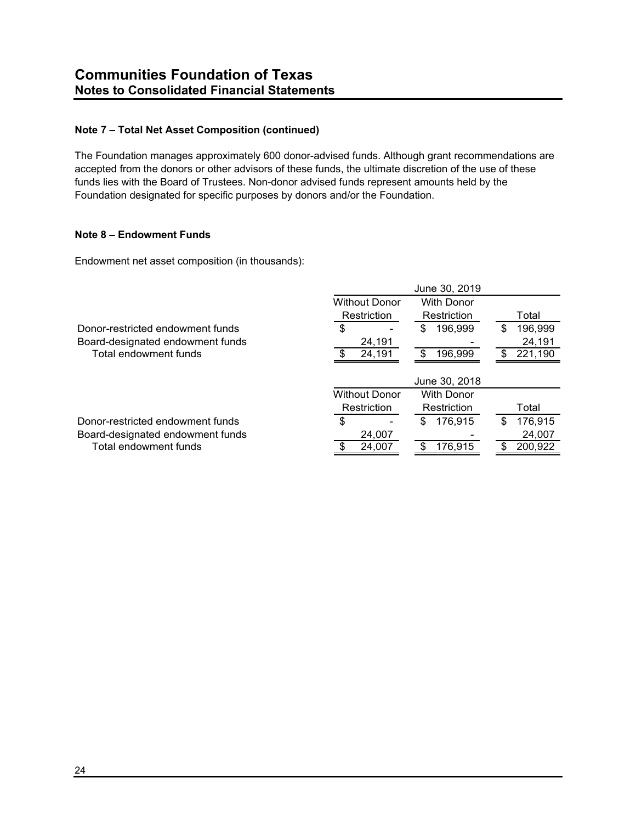# **Note 7 – Total Net Asset Composition (continued)**

The Foundation manages approximately 600 donor-advised funds. Although grant recommendations are accepted from the donors or other advisors of these funds, the ultimate discretion of the use of these funds lies with the Board of Trustees. Non-donor advised funds represent amounts held by the Foundation designated for specific purposes by donors and/or the Foundation.

# **Note 8 – Endowment Funds**

Endowment net asset composition (in thousands):

|                                  |                      | June 30, 2019     |               |
|----------------------------------|----------------------|-------------------|---------------|
|                                  | <b>Without Donor</b> | <b>With Donor</b> |               |
|                                  | Restriction          | Restriction       | Total         |
| Donor-restricted endowment funds | \$                   | 196,999<br>S      | 196,999<br>S  |
| Board-designated endowment funds | 24,191               |                   | 24,191        |
| Total endowment funds            | 24,191               | \$.<br>196,999    | 221,190<br>\$ |
|                                  |                      |                   |               |
|                                  |                      | June 30, 2018     |               |
|                                  | <b>Without Donor</b> | <b>With Donor</b> |               |
|                                  | Restriction          |                   | Total         |
|                                  |                      | Restriction       |               |
| Donor-restricted endowment funds | \$                   | 176,915<br>\$     | 176,915<br>\$ |
| Board-designated endowment funds | 24,007               |                   | 24,007        |
| Total endowment funds            | 24,007               | 176,915<br>\$.    | 200,922       |

 $\overline{\phantom{a}}$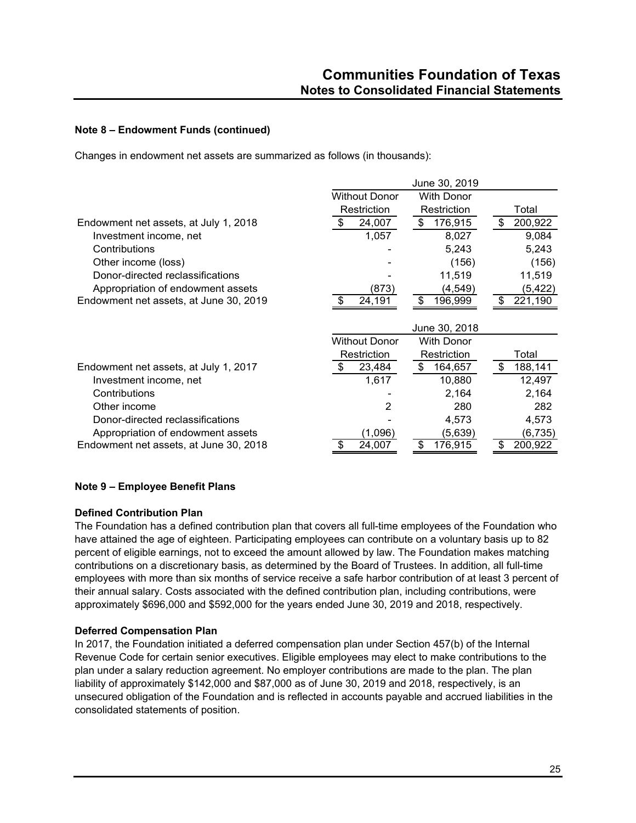# **Note 8 – Endowment Funds (continued)**

Changes in endowment net assets are summarized as follows (in thousands):

|                                        |                      | June 30, 2019     |               |
|----------------------------------------|----------------------|-------------------|---------------|
|                                        | <b>Without Donor</b> | <b>With Donor</b> |               |
|                                        | Restriction          | Restriction       | Total         |
| Endowment net assets, at July 1, 2018  | 24,007               | 176,915<br>\$     | 200,922<br>\$ |
| Investment income, net                 | 1,057                | 8,027             | 9,084         |
| Contributions                          |                      | 5,243             | 5,243         |
| Other income (loss)                    |                      | (156)             | (156)         |
| Donor-directed reclassifications       |                      | 11,519            | 11,519        |
| Appropriation of endowment assets      | (873)                | (4, 549)          | (5,422)       |
| Endowment net assets, at June 30, 2019 | 24,191               | 196,999           | 221,190       |
|                                        |                      |                   |               |
|                                        |                      | June 30, 2018     |               |
|                                        | <b>Without Donor</b> | <b>With Donor</b> |               |
|                                        | Restriction          | Restriction       | Total         |
| Endowment net assets, at July 1, 2017  | 23,484               | 164,657<br>\$     | 188,141<br>\$ |
| Investment income, net                 | 1,617                | 10,880            | 12,497        |
| Contributions                          |                      | 2,164             | 2,164         |
| Other income                           | 2                    | 280               | 282           |
| Donor-directed reclassifications       |                      | 4,573             | 4,573         |
| Appropriation of endowment assets      | (1,096)              | (5,639)           | (6,735)       |
|                                        |                      |                   |               |

# **Note 9 – Employee Benefit Plans**

#### **Defined Contribution Plan**

The Foundation has a defined contribution plan that covers all full-time employees of the Foundation who have attained the age of eighteen. Participating employees can contribute on a voluntary basis up to 82 percent of eligible earnings, not to exceed the amount allowed by law. The Foundation makes matching contributions on a discretionary basis, as determined by the Board of Trustees. In addition, all full-time employees with more than six months of service receive a safe harbor contribution of at least 3 percent of their annual salary. Costs associated with the defined contribution plan, including contributions, were approximately \$696,000 and \$592,000 for the years ended June 30, 2019 and 2018, respectively.

# **Deferred Compensation Plan**

In 2017, the Foundation initiated a deferred compensation plan under Section 457(b) of the Internal Revenue Code for certain senior executives. Eligible employees may elect to make contributions to the plan under a salary reduction agreement. No employer contributions are made to the plan. The plan liability of approximately \$142,000 and \$87,000 as of June 30, 2019 and 2018, respectively, is an unsecured obligation of the Foundation and is reflected in accounts payable and accrued liabilities in the consolidated statements of position.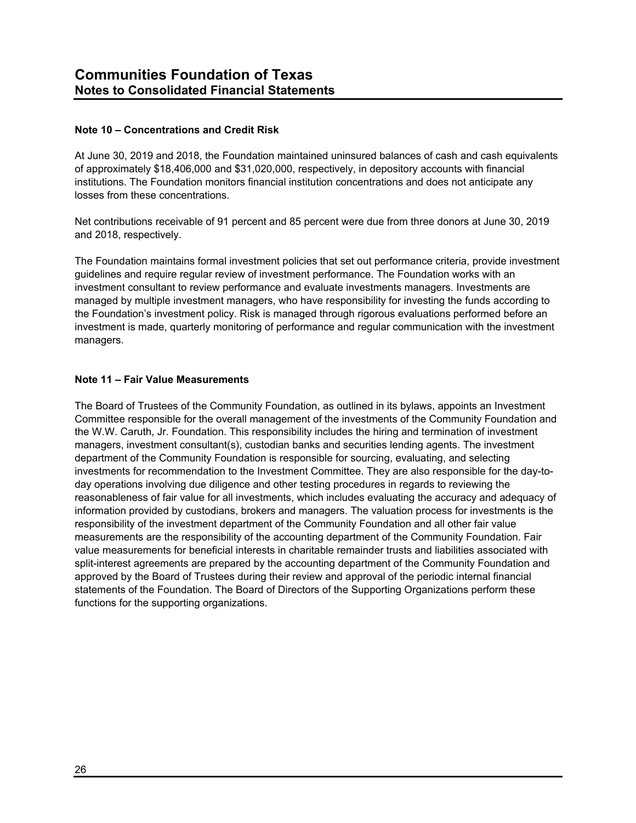# **Note 10 – Concentrations and Credit Risk**

At June 30, 2019 and 2018, the Foundation maintained uninsured balances of cash and cash equivalents of approximately \$18,406,000 and \$31,020,000, respectively, in depository accounts with financial institutions. The Foundation monitors financial institution concentrations and does not anticipate any losses from these concentrations.

Net contributions receivable of 91 percent and 85 percent were due from three donors at June 30, 2019 and 2018, respectively.

The Foundation maintains formal investment policies that set out performance criteria, provide investment guidelines and require regular review of investment performance. The Foundation works with an investment consultant to review performance and evaluate investments managers. Investments are managed by multiple investment managers, who have responsibility for investing the funds according to the Foundation's investment policy. Risk is managed through rigorous evaluations performed before an investment is made, quarterly monitoring of performance and regular communication with the investment managers.

# **Note 11 – Fair Value Measurements**

The Board of Trustees of the Community Foundation, as outlined in its bylaws, appoints an Investment Committee responsible for the overall management of the investments of the Community Foundation and the W.W. Caruth, Jr. Foundation. This responsibility includes the hiring and termination of investment managers, investment consultant(s), custodian banks and securities lending agents. The investment department of the Community Foundation is responsible for sourcing, evaluating, and selecting investments for recommendation to the Investment Committee. They are also responsible for the day-today operations involving due diligence and other testing procedures in regards to reviewing the reasonableness of fair value for all investments, which includes evaluating the accuracy and adequacy of information provided by custodians, brokers and managers. The valuation process for investments is the responsibility of the investment department of the Community Foundation and all other fair value measurements are the responsibility of the accounting department of the Community Foundation. Fair value measurements for beneficial interests in charitable remainder trusts and liabilities associated with split-interest agreements are prepared by the accounting department of the Community Foundation and approved by the Board of Trustees during their review and approval of the periodic internal financial statements of the Foundation. The Board of Directors of the Supporting Organizations perform these functions for the supporting organizations.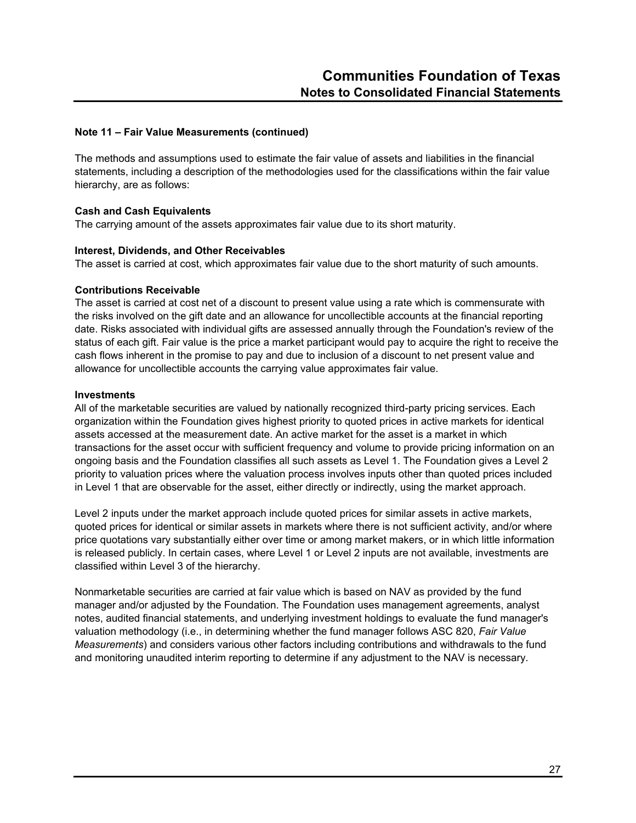The methods and assumptions used to estimate the fair value of assets and liabilities in the financial statements, including a description of the methodologies used for the classifications within the fair value hierarchy, are as follows:

# **Cash and Cash Equivalents**

The carrying amount of the assets approximates fair value due to its short maturity.

#### **Interest, Dividends, and Other Receivables**

The asset is carried at cost, which approximates fair value due to the short maturity of such amounts.

#### **Contributions Receivable**

The asset is carried at cost net of a discount to present value using a rate which is commensurate with the risks involved on the gift date and an allowance for uncollectible accounts at the financial reporting date. Risks associated with individual gifts are assessed annually through the Foundation's review of the status of each gift. Fair value is the price a market participant would pay to acquire the right to receive the cash flows inherent in the promise to pay and due to inclusion of a discount to net present value and allowance for uncollectible accounts the carrying value approximates fair value.

#### **Investments**

All of the marketable securities are valued by nationally recognized third-party pricing services. Each organization within the Foundation gives highest priority to quoted prices in active markets for identical assets accessed at the measurement date. An active market for the asset is a market in which transactions for the asset occur with sufficient frequency and volume to provide pricing information on an ongoing basis and the Foundation classifies all such assets as Level 1. The Foundation gives a Level 2 priority to valuation prices where the valuation process involves inputs other than quoted prices included in Level 1 that are observable for the asset, either directly or indirectly, using the market approach.

Level 2 inputs under the market approach include quoted prices for similar assets in active markets, quoted prices for identical or similar assets in markets where there is not sufficient activity, and/or where price quotations vary substantially either over time or among market makers, or in which little information is released publicly. In certain cases, where Level 1 or Level 2 inputs are not available, investments are classified within Level 3 of the hierarchy.

Nonmarketable securities are carried at fair value which is based on NAV as provided by the fund manager and/or adjusted by the Foundation. The Foundation uses management agreements, analyst notes, audited financial statements, and underlying investment holdings to evaluate the fund manager's valuation methodology (i.e., in determining whether the fund manager follows ASC 820, *Fair Value Measurements*) and considers various other factors including contributions and withdrawals to the fund and monitoring unaudited interim reporting to determine if any adjustment to the NAV is necessary.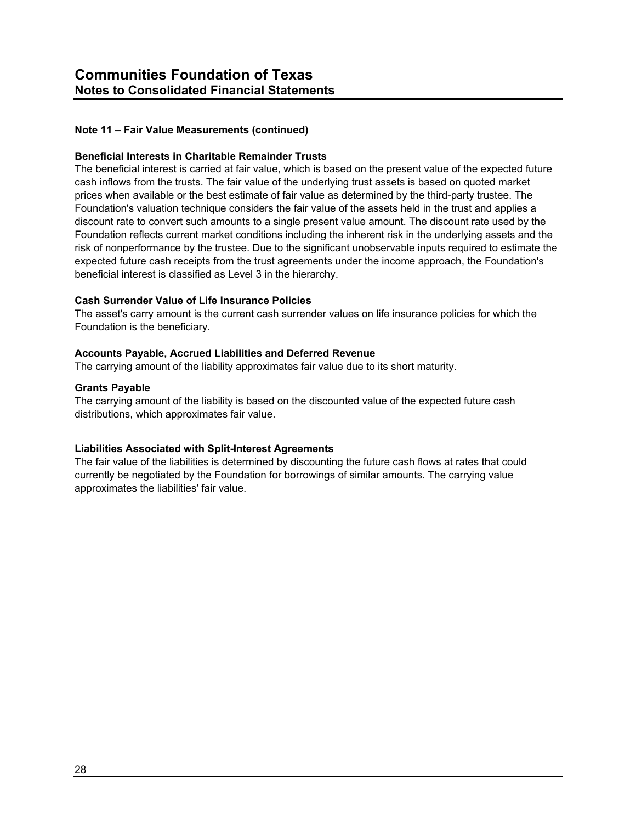#### **Beneficial Interests in Charitable Remainder Trusts**

The beneficial interest is carried at fair value, which is based on the present value of the expected future cash inflows from the trusts. The fair value of the underlying trust assets is based on quoted market prices when available or the best estimate of fair value as determined by the third-party trustee. The Foundation's valuation technique considers the fair value of the assets held in the trust and applies a discount rate to convert such amounts to a single present value amount. The discount rate used by the Foundation reflects current market conditions including the inherent risk in the underlying assets and the risk of nonperformance by the trustee. Due to the significant unobservable inputs required to estimate the expected future cash receipts from the trust agreements under the income approach, the Foundation's beneficial interest is classified as Level 3 in the hierarchy.

# **Cash Surrender Value of Life Insurance Policies**

The asset's carry amount is the current cash surrender values on life insurance policies for which the Foundation is the beneficiary.

#### **Accounts Payable, Accrued Liabilities and Deferred Revenue**

The carrying amount of the liability approximates fair value due to its short maturity.

#### **Grants Payable**

The carrying amount of the liability is based on the discounted value of the expected future cash distributions, which approximates fair value.

# **Liabilities Associated with Split-Interest Agreements**

The fair value of the liabilities is determined by discounting the future cash flows at rates that could currently be negotiated by the Foundation for borrowings of similar amounts. The carrying value approximates the liabilities' fair value.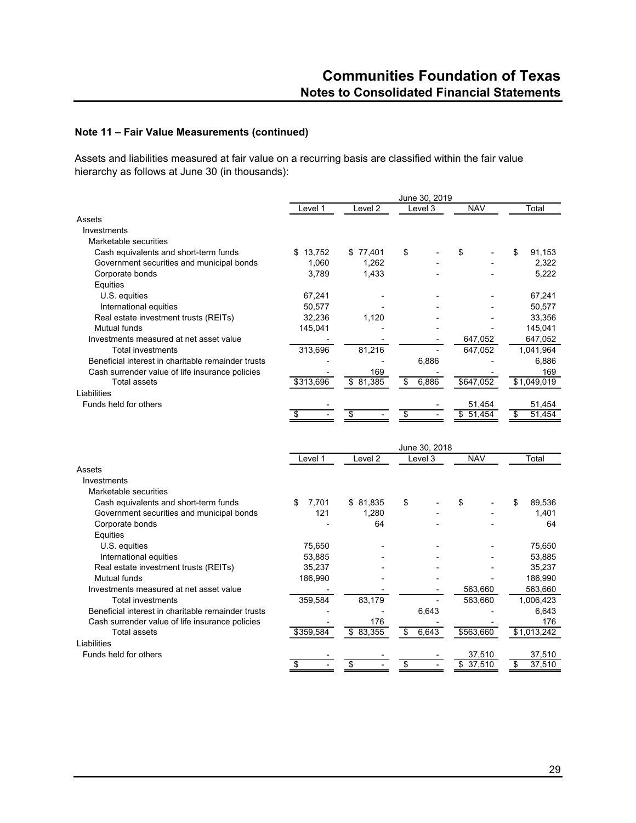Assets and liabilities measured at fair value on a recurring basis are classified within the fair value hierarchy as follows at June 30 (in thousands):

|                                                    |              |                    | June 30, 2019 |              |              |
|----------------------------------------------------|--------------|--------------------|---------------|--------------|--------------|
|                                                    | Level 1      | Level 2            | Level 3       | <b>NAV</b>   | Total        |
| Assets                                             |              |                    |               |              |              |
| Investments                                        |              |                    |               |              |              |
| Marketable securities                              |              |                    |               |              |              |
| Cash equivalents and short-term funds              | 13,752<br>\$ | \$77,401           | \$            | \$           | \$<br>91,153 |
| Government securities and municipal bonds          | 1,060        | 1,262              |               |              | 2,322        |
| Corporate bonds                                    | 3,789        | 1,433              |               |              | 5,222        |
| Equities                                           |              |                    |               |              |              |
| U.S. equities                                      | 67,241       |                    |               |              | 67,241       |
| International equities                             | 50,577       |                    |               |              | 50,577       |
| Real estate investment trusts (REITs)              | 32,236       | 1,120              |               |              | 33,356       |
| <b>Mutual funds</b>                                | 145,041      |                    |               |              | 145,041      |
| Investments measured at net asset value            |              |                    |               | 647,052      | 647,052      |
| <b>Total investments</b>                           | 313,696      | 81,216             |               | 647,052      | 1,041,964    |
| Beneficial interest in charitable remainder trusts |              |                    | 6,886         |              | 6,886        |
| Cash surrender value of life insurance policies    |              | 169                |               |              | 169          |
| <b>Total assets</b>                                | \$313,696    | 81,385<br>\$       | 6,886<br>\$   | \$647,052    | \$1,049,019  |
| Liabilities                                        |              |                    |               |              |              |
| Funds held for others                              |              |                    |               | 51,454       | 51,454       |
|                                                    | \$           | $\overline{\$}$    | \$            | \$<br>51,454 | 51,454<br>\$ |
|                                                    |              |                    |               |              |              |
|                                                    |              |                    |               |              |              |
|                                                    |              |                    | June 30, 2018 |              |              |
|                                                    | Level $1$    | Level <sub>2</sub> | Level 3       | <b>NAV</b>   | Total        |
| Assets                                             |              |                    |               |              |              |
| Investments                                        |              |                    |               |              |              |
| Marketable securities                              |              |                    |               |              |              |
| Cash equivalents and short-term funds              | 7,701<br>\$  | \$81,835           | \$            | \$           | \$<br>89,536 |
| Government securities and municipal bonds          | 121          | 1,280              |               |              | 1,401        |
| Corporate bonds                                    |              | 64                 |               |              | 64           |
| Equities                                           |              |                    |               |              |              |
| U.S. equities                                      | 75.650       |                    |               |              | 75.650       |
| International equities                             | 53,885       |                    |               |              | 53,885       |
| Real estate investment trusts (REITs)              | 35,237       |                    |               |              | 35,237       |
| Mutual funds                                       | 186,990      |                    |               |              | 186,990      |
| Investments measured at net asset value            |              |                    |               | 563,660      | 563,660      |
| <b>Total investments</b>                           | 359,584      | 83,179             |               | 563,660      | 1,006,423    |
| Beneficial interest in charitable remainder trusts |              |                    | 6,643         |              | 6,643        |
| Cash surrender value of life insurance policies    |              | 176                |               |              | 176          |
| Total assets                                       | \$359,584    | \$83,355           | \$<br>6,643   | \$563,660    | \$1,013,242  |
| Liabilities                                        |              |                    |               |              |              |
| Funds held for others                              |              |                    |               | 37,510       | 37,510       |
|                                                    | \$           | \$                 | \$            | \$<br>37.510 | \$<br>37.510 |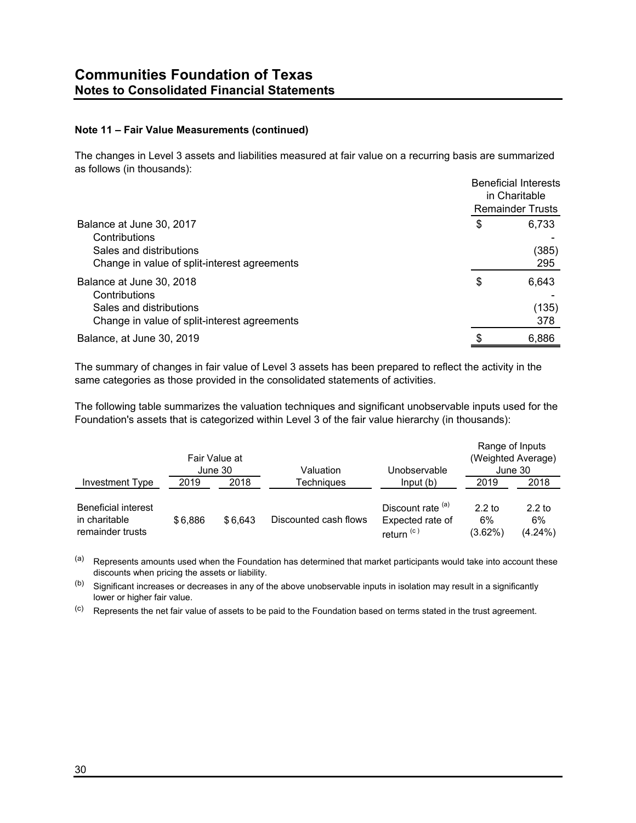The changes in Level 3 assets and liabilities measured at fair value on a recurring basis are summarized as follows (in thousands):

|                                                                                                                      | <b>Beneficial Interests</b><br>in Charitable<br><b>Remainder Trusts</b> |
|----------------------------------------------------------------------------------------------------------------------|-------------------------------------------------------------------------|
| Balance at June 30, 2017<br>Contributions<br>Sales and distributions<br>Change in value of split-interest agreements | \$<br>6,733<br>(385)<br>295                                             |
| Balance at June 30, 2018<br>Contributions<br>Sales and distributions<br>Change in value of split-interest agreements | \$<br>6,643<br>(135)<br>378                                             |
| Balance, at June 30, 2019                                                                                            | 6,886                                                                   |

The summary of changes in fair value of Level 3 assets has been prepared to reflect the activity in the same categories as those provided in the consolidated statements of activities.

The following table summarizes the valuation techniques and significant unobservable inputs used for the Foundation's assets that is categorized within Level 3 of the fair value hierarchy (in thousands):

|                                                                 |         | Fair Value at |                       |                                                                | Range of Inputs           | (Weighted Average)           |
|-----------------------------------------------------------------|---------|---------------|-----------------------|----------------------------------------------------------------|---------------------------|------------------------------|
|                                                                 |         | June 30       | Valuation             | Unobservable                                                   |                           | June 30                      |
| Investment Type                                                 | 2019    | 2018          | Techniaues            | Input(b)                                                       | 2019                      | 2018                         |
| <b>Beneficial interest</b><br>in charitable<br>remainder trusts | \$6.886 | \$6.643       | Discounted cash flows | Discount rate (a)<br>Expected rate of<br>return <sup>(c)</sup> | $2.2$ to<br>6%<br>(3.62%) | $2.2$ to<br>6%<br>$(4.24\%)$ |

 $(a)$  Represents amounts used when the Foundation has determined that market participants would take into account these discounts when pricing the assets or liability.

 $(b)$  Significant increases or decreases in any of the above unobservable inputs in isolation may result in a significantly lower or higher fair value.

(c) Represents the net fair value of assets to be paid to the Foundation based on terms stated in the trust agreement.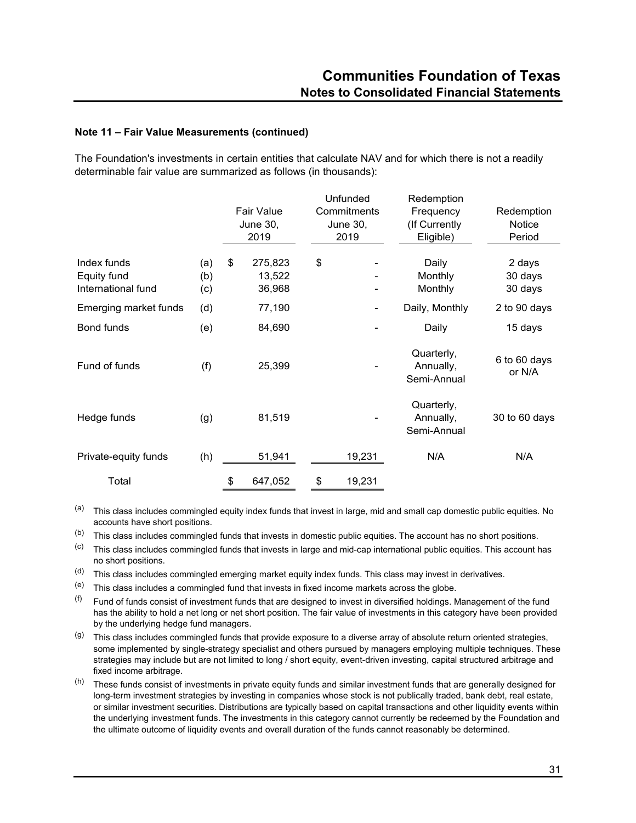The Foundation's investments in certain entities that calculate NAV and for which there is not a readily determinable fair value are summarized as follows (in thousands):

|                                                  |                   | <b>Fair Value</b><br>June 30,<br>2019 | Unfunded<br>Commitments<br>June 30,<br>2019 | Redemption<br>Frequency<br>(If Currently<br>Eligible) | Redemption<br><b>Notice</b><br>Period |
|--------------------------------------------------|-------------------|---------------------------------------|---------------------------------------------|-------------------------------------------------------|---------------------------------------|
| Index funds<br>Equity fund<br>International fund | (a)<br>(b)<br>(c) | \$<br>275,823<br>13,522<br>36,968     | \$<br>-                                     | Daily<br>Monthly<br>Monthly                           | 2 days<br>30 days<br>30 days          |
| Emerging market funds                            | (d)               | 77,190                                | ۰                                           | Daily, Monthly                                        | 2 to 90 days                          |
| Bond funds                                       | (e)               | 84,690                                |                                             | Daily                                                 | 15 days                               |
| Fund of funds                                    | (f)               | 25,399                                |                                             | Quarterly,<br>Annually,<br>Semi-Annual                | 6 to 60 days<br>or N/A                |
| Hedge funds                                      | (g)               | 81,519                                |                                             | Quarterly,<br>Annually,<br>Semi-Annual                | 30 to 60 days                         |
| Private-equity funds                             | (h)               | 51,941                                | 19,231                                      | N/A                                                   | N/A                                   |
| Total                                            |                   | \$<br>647,052                         | \$<br>19,231                                |                                                       |                                       |

(a) This class includes commingled equity index funds that invest in large, mid and small cap domestic public equities. No accounts have short positions.

(b) This class includes commingled funds that invests in domestic public equities. The account has no short positions.

 $\frac{c}{c}$  This class includes commingled funds that invests in large and mid-cap international public equities. This account has no short positions.

 $($ d) This class includes commingled emerging market equity index funds. This class may invest in derivatives.

- $(e)$  This class includes a commingled fund that invests in fixed income markets across the globe.
- $($ f) Fund of funds consist of investment funds that are designed to invest in diversified holdings. Management of the fund has the ability to hold a net long or net short position. The fair value of investments in this category have been provided by the underlying hedge fund managers.
- $(9)$  This class includes commingled funds that provide exposure to a diverse array of absolute return oriented strategies, some implemented by single-strategy specialist and others pursued by managers employing multiple techniques. These strategies may include but are not limited to long / short equity, event-driven investing, capital structured arbitrage and fixed income arbitrage.
- $(h)$  These funds consist of investments in private equity funds and similar investment funds that are generally designed for long-term investment strategies by investing in companies whose stock is not publically traded, bank debt, real estate, or similar investment securities. Distributions are typically based on capital transactions and other liquidity events within the underlying investment funds. The investments in this category cannot currently be redeemed by the Foundation and the ultimate outcome of liquidity events and overall duration of the funds cannot reasonably be determined.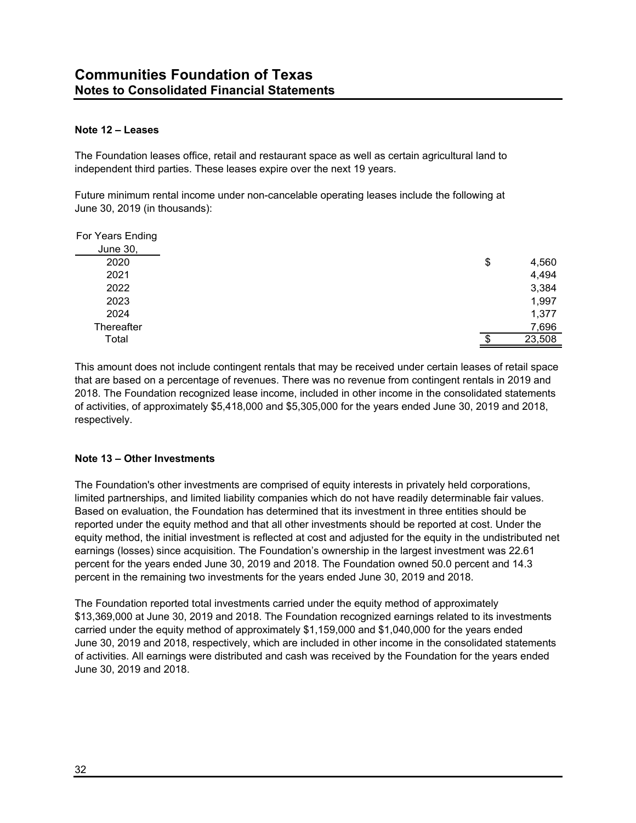#### **Note 12 – Leases**

The Foundation leases office, retail and restaurant space as well as certain agricultural land to independent third parties. These leases expire over the next 19 years.

Future minimum rental income under non-cancelable operating leases include the following at June 30, 2019 (in thousands):

| For Years Ending |             |
|------------------|-------------|
| June 30,         |             |
| 2020             | \$<br>4,560 |
| 2021             | 4,494       |
| 2022             | 3,384       |
| 2023             | 1,997       |
| 2024             | 1,377       |
| Thereafter       | 7,696       |
| Total            | 23,508      |

This amount does not include contingent rentals that may be received under certain leases of retail space that are based on a percentage of revenues. There was no revenue from contingent rentals in 2019 and 2018. The Foundation recognized lease income, included in other income in the consolidated statements of activities, of approximately \$5,418,000 and \$5,305,000 for the years ended June 30, 2019 and 2018, respectively.

# **Note 13 – Other Investments**

The Foundation's other investments are comprised of equity interests in privately held corporations, limited partnerships, and limited liability companies which do not have readily determinable fair values. Based on evaluation, the Foundation has determined that its investment in three entities should be reported under the equity method and that all other investments should be reported at cost. Under the equity method, the initial investment is reflected at cost and adjusted for the equity in the undistributed net earnings (losses) since acquisition. The Foundation's ownership in the largest investment was 22.61 percent for the years ended June 30, 2019 and 2018. The Foundation owned 50.0 percent and 14.3 percent in the remaining two investments for the years ended June 30, 2019 and 2018.

The Foundation reported total investments carried under the equity method of approximately \$13,369,000 at June 30, 2019 and 2018. The Foundation recognized earnings related to its investments carried under the equity method of approximately \$1,159,000 and \$1,040,000 for the years ended June 30, 2019 and 2018, respectively, which are included in other income in the consolidated statements of activities. All earnings were distributed and cash was received by the Foundation for the years ended June 30, 2019 and 2018.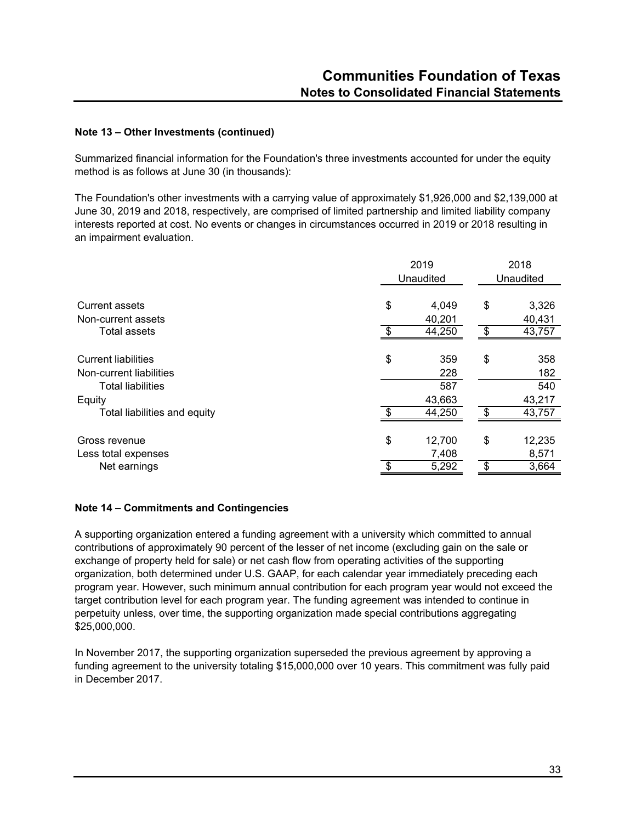# **Note 13 – Other Investments (continued)**

Summarized financial information for the Foundation's three investments accounted for under the equity method is as follows at June 30 (in thousands):

The Foundation's other investments with a carrying value of approximately \$1,926,000 and \$2,139,000 at June 30, 2019 and 2018, respectively, are comprised of limited partnership and limited liability company interests reported at cost. No events or changes in circumstances occurred in 2019 or 2018 resulting in an impairment evaluation.

|                                                       | 2019<br>Unaudited     |     | 2018<br>Unaudited |  |
|-------------------------------------------------------|-----------------------|-----|-------------------|--|
| <b>Current assets</b><br>Non-current assets           | \$<br>4,049<br>40,201 | \$  | 3,326<br>40,431   |  |
| <b>Total assets</b>                                   | \$<br>44,250          | \$  | 43,757            |  |
| <b>Current liabilities</b><br>Non-current liabilities | \$<br>359<br>228      | \$  | 358<br>182        |  |
| <b>Total liabilities</b><br>Equity                    | 587<br>43,663         |     | 540<br>43,217     |  |
| Total liabilities and equity                          | 44,250                | -\$ | 43,757            |  |
| Gross revenue<br>Less total expenses                  | \$<br>12,700<br>7,408 | \$  | 12,235<br>8,571   |  |
| Net earnings                                          | 5,292                 | \$  | 3,664             |  |

# **Note 14 – Commitments and Contingencies**

A supporting organization entered a funding agreement with a university which committed to annual contributions of approximately 90 percent of the lesser of net income (excluding gain on the sale or exchange of property held for sale) or net cash flow from operating activities of the supporting organization, both determined under U.S. GAAP, for each calendar year immediately preceding each program year. However, such minimum annual contribution for each program year would not exceed the target contribution level for each program year. The funding agreement was intended to continue in perpetuity unless, over time, the supporting organization made special contributions aggregating \$25,000,000.

In November 2017, the supporting organization superseded the previous agreement by approving a funding agreement to the university totaling \$15,000,000 over 10 years. This commitment was fully paid in December 2017.